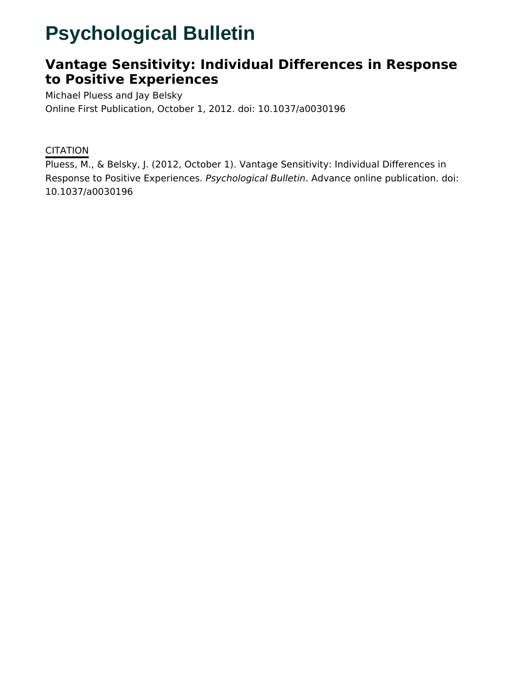# **Psychological Bulletin**

## **Vantage Sensitivity: Individual Differences in Response to Positive Experiences**

Michael Pluess and Jay Belsky Online First Publication, October 1, 2012. doi: 10.1037/a0030196

### **CITATION**

Pluess, M., & Belsky, J. (2012, October 1). Vantage Sensitivity: Individual Differences in Response to Positive Experiences. Psychological Bulletin. Advance online publication. doi: 10.1037/a0030196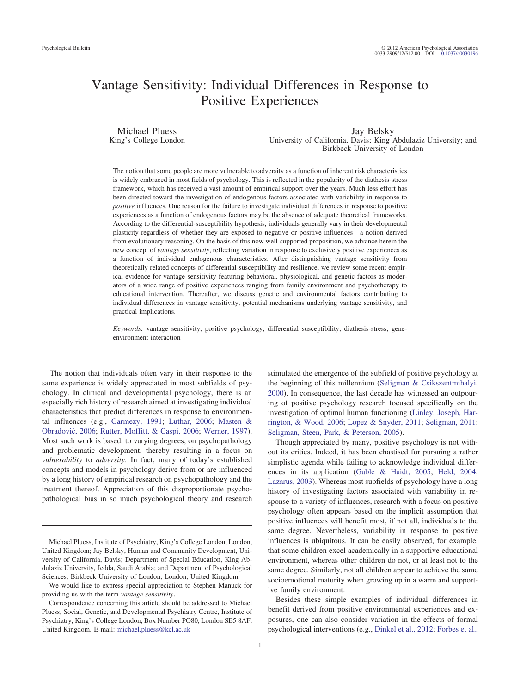### Vantage Sensitivity: Individual Differences in Response to Positive Experiences

Michael Pluess King's College London

Jay Belsky University of California, Davis; King Abdulaziz University; and Birkbeck University of London

The notion that some people are more vulnerable to adversity as a function of inherent risk characteristics is widely embraced in most fields of psychology. This is reflected in the popularity of the diathesis-stress framework, which has received a vast amount of empirical support over the years. Much less effort has been directed toward the investigation of endogenous factors associated with variability in response to *positive* influences. One reason for the failure to investigate individual differences in response to positive experiences as a function of endogenous factors may be the absence of adequate theoretical frameworks. According to the differential-susceptibility hypothesis, individuals generally vary in their developmental plasticity regardless of whether they are exposed to negative or positive influences—a notion derived from evolutionary reasoning. On the basis of this now well-supported proposition, we advance herein the new concept of *vantage sensitivity*, reflecting variation in response to exclusively positive experiences as a function of individual endogenous characteristics. After distinguishing vantage sensitivity from theoretically related concepts of differential-susceptibility and resilience, we review some recent empirical evidence for vantage sensitivity featuring behavioral, physiological, and genetic factors as moderators of a wide range of positive experiences ranging from family environment and psychotherapy to educational intervention. Thereafter, we discuss genetic and environmental factors contributing to individual differences in vantage sensitivity, potential mechanisms underlying vantage sensitivity, and practical implications.

*Keywords:* vantage sensitivity, positive psychology, differential susceptibility, diathesis-stress, geneenvironment interaction

The notion that individuals often vary in their response to the same experience is widely appreciated in most subfields of psychology. In clinical and developmental psychology, there is an especially rich history of research aimed at investigating individual characteristics that predict differences in response to environmental influences (e.g., Garmezy, 1991; Luthar, 2006; Masten & Obradović, 2006; Rutter, Moffitt, & Caspi, 2006; Werner, 1997). Most such work is based, to varying degrees, on psychopathology and problematic development, thereby resulting in a focus on *vulnerability* to *adversity*. In fact, many of today's established concepts and models in psychology derive from or are influenced by a long history of empirical research on psychopathology and the treatment thereof. Appreciation of this disproportionate psychopathological bias in so much psychological theory and research

We would like to express special appreciation to Stephen Manuck for providing us with the term *vantage sensitivity*.

stimulated the emergence of the subfield of positive psychology at the beginning of this millennium (Seligman & Csikszentmihalyi, 2000). In consequence, the last decade has witnessed an outpouring of positive psychology research focused specifically on the investigation of optimal human functioning (Linley, Joseph, Harrington, & Wood, 2006; Lopez & Snyder, 2011; Seligman, 2011; Seligman, Steen, Park, & Peterson, 2005).

Though appreciated by many, positive psychology is not without its critics. Indeed, it has been chastised for pursuing a rather simplistic agenda while failing to acknowledge individual differences in its application (Gable & Haidt, 2005; Held, 2004; Lazarus, 2003). Whereas most subfields of psychology have a long history of investigating factors associated with variability in response to a variety of influences, research with a focus on positive psychology often appears based on the implicit assumption that positive influences will benefit most, if not all, individuals to the same degree. Nevertheless, variability in response to positive influences is ubiquitous. It can be easily observed, for example, that some children excel academically in a supportive educational environment, whereas other children do not, or at least not to the same degree. Similarly, not all children appear to achieve the same socioemotional maturity when growing up in a warm and supportive family environment.

Besides these simple examples of individual differences in benefit derived from positive environmental experiences and exposures, one can also consider variation in the effects of formal psychological interventions (e.g., Dinkel et al., 2012; Forbes et al.,

Michael Pluess, Institute of Psychiatry, King's College London, London, United Kingdom; Jay Belsky, Human and Community Development, University of California, Davis; Department of Special Education, King Abdulaziz University, Jedda, Saudi Arabia; and Department of Psychological Sciences, Birkbeck University of London, London, United Kingdom.

Correspondence concerning this article should be addressed to Michael Pluess, Social, Genetic, and Developmental Psychiatry Centre, Institute of Psychiatry, King's College London, Box Number PO80, London SE5 8AF, United Kingdom. E-mail: michael.pluess@kcl.ac.uk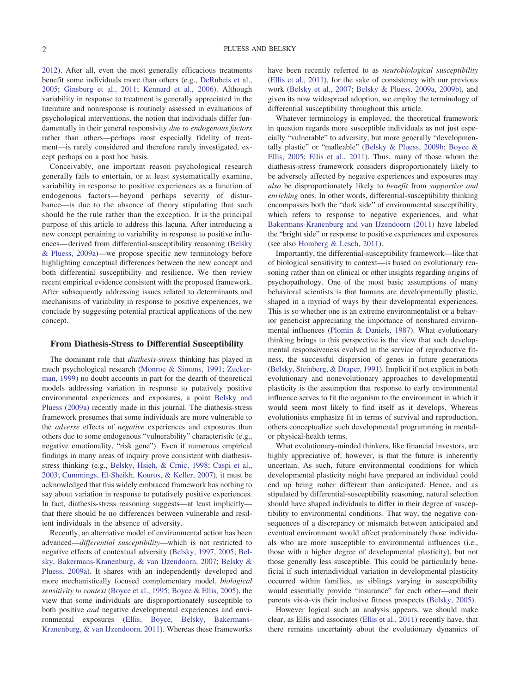2012). After all, even the most generally efficacious treatments benefit some individuals more than others (e.g., DeRubeis et al., 2005; Ginsburg et al., 2011; Kennard et al., 2006). Although variability in response to treatment is generally appreciated in the literature and nonresponse is routinely assessed in evaluations of psychological interventions, the notion that individuals differ fundamentally in their general responsivity *due to endogenous factors* rather than others—perhaps most especially fidelity of treatment—is rarely considered and therefore rarely investigated, except perhaps on a post hoc basis.

Conceivably, one important reason psychological research generally fails to entertain, or at least systematically examine, variability in response to positive experiences as a function of endogenous factors— beyond perhaps severity of disturbance—is due to the absence of theory stipulating that such should be the rule rather than the exception. It is the principal purpose of this article to address this lacuna. After introducing a new concept pertaining to variability in response to positive influences— derived from differential-susceptibility reasoning (Belsky & Pluess, 2009a)—we propose specific new terminology before highlighting conceptual differences between the new concept and both differential susceptibility and resilience. We then review recent empirical evidence consistent with the proposed framework. After subsequently addressing issues related to determinants and mechanisms of variability in response to positive experiences, we conclude by suggesting potential practical applications of the new concept.

#### **From Diathesis-Stress to Differential Susceptibility**

The dominant role that *diathesis-stress* thinking has played in much psychological research (Monroe & Simons, 1991; Zuckerman, 1999) no doubt accounts in part for the dearth of theoretical models addressing variation in response to putatively positive environmental experiences and exposures, a point Belsky and Pluess (2009a) recently made in this journal. The diathesis-stress framework presumes that some individuals are more vulnerable to the *adverse* effects of *negative* experiences and exposures than others due to some endogenous "vulnerability" characteristic (e.g., negative emotionality, "risk gene"). Even if numerous empirical findings in many areas of inquiry prove consistent with diathesisstress thinking (e.g., Belsky, Hsieh, & Crnic, 1998; Caspi et al., 2003; Cummings, El-Sheikh, Kouros, & Keller, 2007), it must be acknowledged that this widely embraced framework has nothing to say about variation in response to putatively positive experiences. In fact, diathesis-stress reasoning suggests—at least implicitly that there should be no differences between vulnerable and resilient individuals in the absence of adversity.

Recently, an alternative model of environmental action has been advanced—*differential susceptibility*—which is not restricted to negative effects of contextual adversity (Belsky, 1997, 2005; Belsky, Bakermans-Kranenburg, & van IJzendoorn, 2007; Belsky & Pluess, 2009a). It shares with an independently developed and more mechanistically focused complementary model, *biological sensitivity to context* (Boyce et al., 1995; Boyce & Ellis, 2005), the view that some individuals are disproportionately susceptible to both positive *and* negative developmental experiences and environmental exposures (Ellis, Boyce, Belsky, Bakermans-Kranenburg, & van IJzendoorn, 2011). Whereas these frameworks have been recently referred to as *neurobiological susceptibility* (Ellis et al., 2011), for the sake of consistency with our previous work (Belsky et al., 2007; Belsky & Pluess, 2009a, 2009b), and given its now widespread adoption, we employ the terminology of differential susceptibility throughout this article.

Whatever terminology is employed, the theoretical framework in question regards more susceptible individuals as not just especially "vulnerable" to adversity, but more generally "developmentally plastic" or "malleable" (Belsky & Pluess, 2009b; Boyce & Ellis, 2005; Ellis et al., 2011). Thus, many of those whom the diathesis-stress framework considers disproportionately likely to be adversely affected by negative experiences and exposures may *also* be disproportionately likely to *benefit* from *supportive and enriching* ones. In other words, differential-susceptibility thinking encompasses both the "dark side" of environmental susceptibility, which refers to response to negative experiences, and what Bakermans-Kranenburg and van IJzendoorn (2011) have labeled the "bright side" or response to positive experiences and exposures (see also Homberg & Lesch, 2011).

Importantly, the differential-susceptibility framework—like that of biological sensitivity to context—is based on evolutionary reasoning rather than on clinical or other insights regarding origins of psychopathology. One of the most basic assumptions of many behavioral scientists is that humans are developmentally plastic, shaped in a myriad of ways by their developmental experiences. This is so whether one is an extreme environmentalist or a behavior geneticist appreciating the importance of nonshared environmental influences (Plomin & Daniels, 1987). What evolutionary thinking brings to this perspective is the view that such developmental responsiveness evolved in the service of reproductive fitness, the successful dispersion of genes in future generations (Belsky, Steinberg, & Draper, 1991). Implicit if not explicit in both evolutionary and nonevolutionary approaches to developmental plasticity is the assumption that response to early environmental influence serves to fit the organism to the environment in which it would seem most likely to find itself as it develops. Whereas evolutionists emphasize fit in terms of survival and reproduction, others conceptualize such developmental programming in mentalor physical-health terms.

What evolutionary-minded thinkers, like financial investors, are highly appreciative of, however, is that the future is inherently uncertain. As such, future environmental conditions for which developmental plasticity might have prepared an individual could end up being rather different than anticipated. Hence, and as stipulated by differential-susceptibility reasoning, natural selection should have shaped individuals to differ in their degree of susceptibility to environmental conditions. That way, the negative consequences of a discrepancy or mismatch between anticipated and eventual environment would affect predominately those individuals who are more susceptible to environmental influences (i.e., those with a higher degree of developmental plasticity), but not those generally less susceptible. This could be particularly beneficial if such interindividual variation in developmental plasticity occurred within families, as siblings varying in susceptibility would essentially provide "insurance" for each other—and their parents vis-à-vis their inclusive fitness prospects (Belsky, 2005).

However logical such an analysis appears, we should make clear, as Ellis and associates (Ellis et al., 2011) recently have, that there remains uncertainty about the evolutionary dynamics of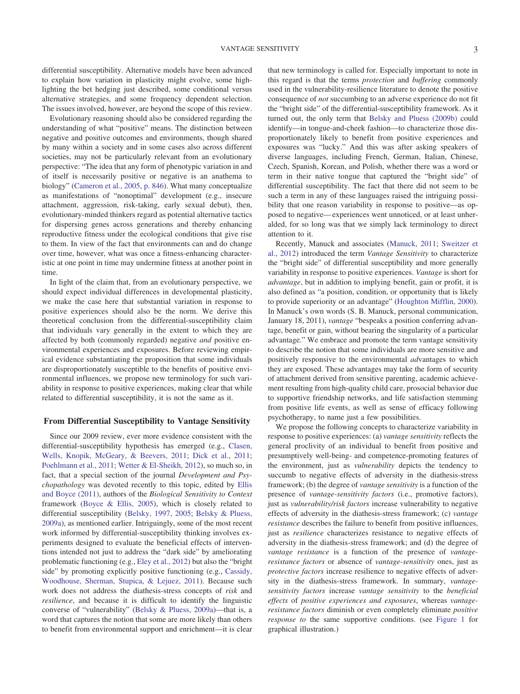differential susceptibility. Alternative models have been advanced to explain how variation in plasticity might evolve, some highlighting the bet hedging just described, some conditional versus alternative strategies, and some frequency dependent selection. The issues involved, however, are beyond the scope of this review.

Evolutionary reasoning should also be considered regarding the understanding of what "positive" means. The distinction between negative and positive outcomes and environments, though shared by many within a society and in some cases also across different societies, may not be particularly relevant from an evolutionary perspective: "The idea that any form of phenotypic variation in and of itself is necessarily positive or negative is an anathema to biology" (Cameron et al., 2005, p. 846). What many conceptualize as manifestations of "nonoptimal" development (e.g., insecure attachment, aggression, risk-taking, early sexual debut), then, evolutionary-minded thinkers regard as potential alternative tactics for dispersing genes across generations and thereby enhancing reproductive fitness under the ecological conditions that give rise to them. In view of the fact that environments can and do change over time, however, what was once a fitness-enhancing characteristic at one point in time may undermine fitness at another point in time.

In light of the claim that, from an evolutionary perspective, we should expect individual differences in developmental plasticity, we make the case here that substantial variation in response to positive experiences should also be the norm. We derive this theoretical conclusion from the differential-susceptibility claim that individuals vary generally in the extent to which they are affected by both (commonly regarded) negative *and* positive environmental experiences and exposures. Before reviewing empirical evidence substantiating the proposition that some individuals are disproportionately susceptible to the benefits of positive environmental influences, we propose new terminology for such variability in response to positive experiences, making clear that while related to differential susceptibility, it is not the same as it.

#### **From Differential Susceptibility to Vantage Sensitivity**

Since our 2009 review, ever more evidence consistent with the differential-susceptibility hypothesis has emerged (e.g., Clasen, Wells, Knopik, McGeary, & Beevers, 2011; Dick et al., 2011; Poehlmann et al., 2011; Wetter & El-Sheikh, 2012), so much so, in fact, that a special section of the journal *Development and Psychopathology* was devoted recently to this topic, edited by Ellis and Boyce (2011), authors of the *Biological Sensitivity to Context* framework (Boyce & Ellis, 2005), which is closely related to differential susceptibility (Belsky, 1997, 2005; Belsky & Pluess, 2009a), as mentioned earlier. Intriguingly, some of the most recent work informed by differential-susceptibility thinking involves experiments designed to evaluate the beneficial effects of interventions intended not just to address the "dark side" by ameliorating problematic functioning (e.g., Eley et al., 2012) but also the "bright side" by promoting explicitly positive functioning (e.g., Cassidy, Woodhouse, Sherman, Stupica, & Lejuez, 2011). Because such work does not address the diathesis-stress concepts of *risk* and *resilience*, and because it is difficult to identify the linguistic converse of "vulnerability" (Belsky & Pluess, 2009a)—that is, a word that captures the notion that some are more likely than others to benefit from environmental support and enrichment—it is clear that new terminology is called for. Especially important to note in this regard is that the terms *protection* and *buffering* commonly used in the vulnerability-resilience literature to denote the positive consequence of *not* succumbing to an adverse experience do not fit the "bright side" of the differential-susceptibility framework. As it turned out, the only term that Belsky and Pluess (2009b) could identify—in tongue-and-cheek fashion—to characterize those disproportionately likely to benefit from positive experiences and exposures was "lucky." And this was after asking speakers of diverse languages, including French, German, Italian, Chinese, Czech, Spanish, Korean, and Polish, whether there was a word or term in their native tongue that captured the "bright side" of differential susceptibility. The fact that there did not seem to be such a term in any of these languages raised the intriguing possibility that one reason variability in response to positive—as opposed to negative— experiences went unnoticed, or at least unheralded, for so long was that we simply lack terminology to direct attention to it.

Recently, Manuck and associates (Manuck, 2011; Sweitzer et al., 2012) introduced the term *Vantage Sensitivity* to characterize the "bright side" of differential susceptibility and more generally variability in response to positive experiences. *Vantage* is short for *advantage*, but in addition to implying benefit, gain or profit, it is also defined as "a position, condition, or opportunity that is likely to provide superiority or an advantage" (Houghton Mifflin, 2000). In Manuck's own words (S. B. Manuck, personal communication, January 18, 2011), *vantage* "bespeaks a position conferring advantage, benefit or gain, without bearing the singularity of a particular advantage." We embrace and promote the term vantage sensitivity to describe the notion that some individuals are more sensitive and positively responsive to the environmental *ad*vantages to which they are exposed. These advantages may take the form of security of attachment derived from sensitive parenting, academic achievement resulting from high-quality child care, prosocial behavior due to supportive friendship networks, and life satisfaction stemming from positive life events, as well as sense of efficacy following psychotherapy, to name just a few possibilities.

We propose the following concepts to characterize variability in response to positive experiences: (a) *vantage sensitivity* reflects the general proclivity of an individual to benefit from positive and presumptively well-being- and competence-promoting features of the environment, just as *vulnerability* depicts the tendency to succumb to negative effects of adversity in the diathesis-stress framework; (b) the degree of *vantage sensitivity* is a function of the presence of *vantage-sensitivity factors* (i.e., promotive factors), just as *vulnerability/risk factors* increase vulnerability to negative effects of adversity in the diathesis-stress framework; (c) *vantage resistance* describes the failure to benefit from positive influences, just as *resilience* characterizes resistance to negative effects of adversity in the diathesis-stress framework; and (d) the degree of *vantage resistance* is a function of the presence of *vantageresistance factors* or absence of *vantage-sensitivity* ones, just as *protective factors* increase resilience to negative effects of adversity in the diathesis-stress framework. In summary, *vantagesensitivity factors* increase *vantage sensitivity* to the *beneficial effects* of *positive experiences and exposures*, whereas *vantageresistance factors* diminish or even completely eliminate *positive response to* the same supportive conditions. (see Figure 1 for graphical illustration.)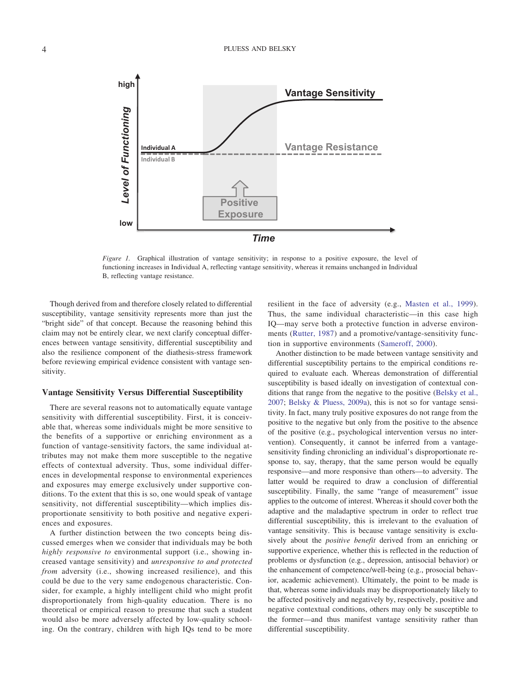

*Figure 1.* Graphical illustration of vantage sensitivity; in response to a positive exposure, the level of functioning increases in Individual A, reflecting vantage sensitivity, whereas it remains unchanged in Individual B, reflecting vantage resistance.

Though derived from and therefore closely related to differential susceptibility, vantage sensitivity represents more than just the "bright side" of that concept. Because the reasoning behind this claim may not be entirely clear, we next clarify conceptual differences between vantage sensitivity, differential susceptibility and also the resilience component of the diathesis-stress framework before reviewing empirical evidence consistent with vantage sensitivity.

#### **Vantage Sensitivity Versus Differential Susceptibility**

There are several reasons not to automatically equate vantage sensitivity with differential susceptibility. First, it is conceivable that, whereas some individuals might be more sensitive to the benefits of a supportive or enriching environment as a function of vantage-sensitivity factors, the same individual attributes may not make them more susceptible to the negative effects of contextual adversity. Thus, some individual differences in developmental response to environmental experiences and exposures may emerge exclusively under supportive conditions. To the extent that this is so, one would speak of vantage sensitivity, not differential susceptibility—which implies disproportionate sensitivity to both positive and negative experiences and exposures.

A further distinction between the two concepts being discussed emerges when we consider that individuals may be both *highly responsive to* environmental support (i.e., showing increased vantage sensitivity) and *unresponsive to and protected from* adversity (i.e., showing increased resilience), and this could be due to the very same endogenous characteristic. Consider, for example, a highly intelligent child who might profit disproportionately from high-quality education. There is no theoretical or empirical reason to presume that such a student would also be more adversely affected by low-quality schooling. On the contrary, children with high IQs tend to be more

resilient in the face of adversity (e.g., Masten et al., 1999). Thus, the same individual characteristic—in this case high IQ—may serve both a protective function in adverse environments (Rutter, 1987) and a promotive/vantage-sensitivity function in supportive environments (Sameroff, 2000).

Another distinction to be made between vantage sensitivity and differential susceptibility pertains to the empirical conditions required to evaluate each. Whereas demonstration of differential susceptibility is based ideally on investigation of contextual conditions that range from the negative to the positive (Belsky et al., 2007; Belsky & Pluess, 2009a), this is not so for vantage sensitivity. In fact, many truly positive exposures do not range from the positive to the negative but only from the positive to the absence of the positive (e.g., psychological intervention versus no intervention). Consequently, it cannot be inferred from a vantagesensitivity finding chronicling an individual's disproportionate response to, say, therapy, that the same person would be equally responsive—and more responsive than others—to adversity. The latter would be required to draw a conclusion of differential susceptibility. Finally, the same "range of measurement" issue applies to the outcome of interest. Whereas it should cover both the adaptive and the maladaptive spectrum in order to reflect true differential susceptibility, this is irrelevant to the evaluation of vantage sensitivity. This is because vantage sensitivity is exclusively about the *positive benefit* derived from an enriching or supportive experience, whether this is reflected in the reduction of problems or dysfunction (e.g., depression, antisocial behavior) or the enhancement of competence/well-being (e.g., prosocial behavior, academic achievement). Ultimately, the point to be made is that, whereas some individuals may be disproportionately likely to be affected positively and negatively by, respectively, positive and negative contextual conditions, others may only be susceptible to the former—and thus manifest vantage sensitivity rather than differential susceptibility.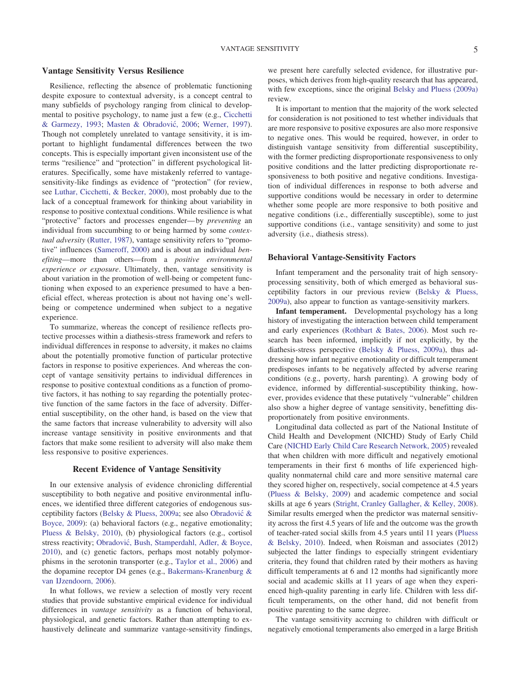#### **Vantage Sensitivity Versus Resilience**

Resilience, reflecting the absence of problematic functioning despite exposure to contextual adversity, is a concept central to many subfields of psychology ranging from clinical to developmental to positive psychology, to name just a few (e.g., Cicchetti & Garmezy, 1993; Masten & Obradović, 2006; Werner, 1997). Though not completely unrelated to vantage sensitivity, it is important to highlight fundamental differences between the two concepts. This is especially important given inconsistent use of the terms "resilience" and "protection" in different psychological literatures. Specifically, some have mistakenly referred to vantagesensitivity-like findings as evidence of "protection" (for review, see Luthar, Cicchetti, & Becker, 2000), most probably due to the lack of a conceptual framework for thinking about variability in response to positive contextual conditions. While resilience is what "protective" factors and processes engender— by *preventing* an individual from succumbing to or being harmed by some *contextual adversity* (Rutter, 1987), vantage sensitivity refers to "promotive" influences (Sameroff, 2000) and is about an individual *benefiting*—more than others—from a *positive environmental experience or exposure*. Ultimately, then, vantage sensitivity is about variation in the promotion of well-being or competent functioning when exposed to an experience presumed to have a beneficial effect, whereas protection is about not having one's wellbeing or competence undermined when subject to a negative experience.

To summarize, whereas the concept of resilience reflects protective processes within a diathesis-stress framework and refers to individual differences in response to adversity, it makes no claims about the potentially promotive function of particular protective factors in response to positive experiences. And whereas the concept of vantage sensitivity pertains to individual differences in response to positive contextual conditions as a function of promotive factors, it has nothing to say regarding the potentially protective function of the same factors in the face of adversity. Differential susceptibility, on the other hand, is based on the view that the same factors that increase vulnerability to adversity will also increase vantage sensitivity in positive environments and that factors that make some resilient to adversity will also make them less responsive to positive experiences.

#### **Recent Evidence of Vantage Sensitivity**

In our extensive analysis of evidence chronicling differential susceptibility to both negative and positive environmental influences, we identified three different categories of endogenous susceptibility factors (Belsky & Pluess, 2009a; see also Obradovic &´ Boyce, 2009): (a) behavioral factors (e.g., negative emotionality; Pluess & Belsky, 2010), (b) physiological factors (e.g., cortisol stress reactivity; Obradovic, Bush, Stamperdahl, Adler, & Boyce, ´ 2010), and (c) genetic factors, perhaps most notably polymorphisms in the serotonin transporter (e.g., Taylor et al., 2006) and the dopamine receptor D4 genes (e.g., Bakermans-Kranenburg & van IJzendoorn, 2006).

In what follows, we review a selection of mostly very recent studies that provide substantive empirical evidence for individual differences in *vantage sensitivity* as a function of behavioral, physiological, and genetic factors. Rather than attempting to exhaustively delineate and summarize vantage-sensitivity findings,

we present here carefully selected evidence, for illustrative purposes, which derives from high-quality research that has appeared, with few exceptions, since the original Belsky and Pluess (2009a) review.

It is important to mention that the majority of the work selected for consideration is not positioned to test whether individuals that are more responsive to positive exposures are also more responsive to negative ones. This would be required, however, in order to distinguish vantage sensitivity from differential susceptibility, with the former predicting disproportionate responsiveness to only positive conditions and the latter predicting disproportionate responsiveness to both positive and negative conditions. Investigation of individual differences in response to both adverse and supportive conditions would be necessary in order to determine whether some people are more responsive to both positive and negative conditions (i.e., differentially susceptible), some to just supportive conditions (i.e., vantage sensitivity) and some to just adversity (i.e., diathesis stress).

#### **Behavioral Vantage-Sensitivity Factors**

Infant temperament and the personality trait of high sensoryprocessing sensitivity, both of which emerged as behavioral susceptibility factors in our previous review (Belsky & Pluess, 2009a), also appear to function as vantage-sensitivity markers.

**Infant temperament.** Developmental psychology has a long history of investigating the interaction between child temperament and early experiences (Rothbart & Bates, 2006). Most such research has been informed, implicitly if not explicitly, by the diathesis-stress perspective (Belsky & Pluess, 2009a), thus addressing how infant negative emotionality or difficult temperament predisposes infants to be negatively affected by adverse rearing conditions (e.g., poverty, harsh parenting). A growing body of evidence, informed by differential-susceptibility thinking, however, provides evidence that these putatively "vulnerable" children also show a higher degree of vantage sensitivity, benefitting disproportionately from positive environments.

Longitudinal data collected as part of the National Institute of Child Health and Development (NICHD) Study of Early Child Care (NICHD Early Child Care Research Network, 2005) revealed that when children with more difficult and negatively emotional temperaments in their first 6 months of life experienced highquality nonmaternal child care and more sensitive maternal care they scored higher on, respectively, social competence at 4.5 years (Pluess & Belsky, 2009) and academic competence and social skills at age 6 years (Stright, Cranley Gallagher, & Kelley, 2008). Similar results emerged when the predictor was maternal sensitivity across the first 4.5 years of life and the outcome was the growth of teacher-rated social skills from 4.5 years until 11 years (Pluess & Belsky, 2010). Indeed, when Roisman and associates (2012) subjected the latter findings to especially stringent evidentiary criteria, they found that children rated by their mothers as having difficult temperaments at 6 and 12 months had significantly more social and academic skills at 11 years of age when they experienced high-quality parenting in early life. Children with less difficult temperaments, on the other hand, did not benefit from positive parenting to the same degree.

The vantage sensitivity accruing to children with difficult or negatively emotional temperaments also emerged in a large British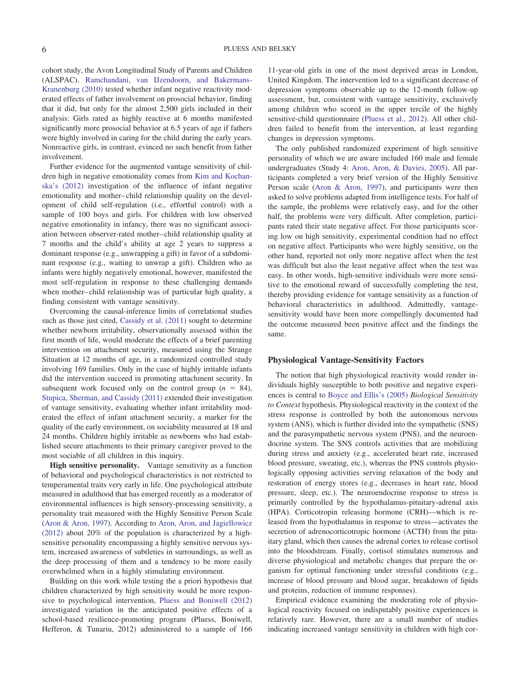cohort study, the Avon Longitudinal Study of Parents and Children (ALSPAC). Ramchandani, van IJzendoorn, and Bakermans-Kranenburg (2010) tested whether infant negative reactivity moderated effects of father involvement on prosocial behavior, finding that it did, but only for the almost 2,500 girls included in their analysis: Girls rated as highly reactive at 6 months manifested significantly more prosocial behavior at 6.5 years of age if fathers were highly involved in caring for the child during the early years. Nonreactive girls, in contrast, evinced no such benefit from father involvement.

Further evidence for the augmented vantage sensitivity of children high in negative emotionality comes from Kim and Kochanska's (2012) investigation of the influence of infant negative emotionality and mother– child relationship quality on the development of child self-regulation (i.e., effortful control) with a sample of 100 boys and girls. For children with low observed negative emotionality in infancy, there was no significant association between observer-rated mother– child relationship quality at 7 months and the child's ability at age 2 years to suppress a dominant response (e.g., unwrapping a gift) in favor of a subdominant response (e.g., waiting to unwrap a gift). Children who as infants were highly negatively emotional, however, manifested the most self-regulation in response to these challenging demands when mother– child relationship was of particular high quality, a finding consistent with vantage sensitivity.

Overcoming the causal-inference limits of correlational studies such as those just cited, Cassidy et al. (2011) sought to determine whether newborn irritability, observationally assessed within the first month of life, would moderate the effects of a brief parenting intervention on attachment security, measured using the Strange Situation at 12 months of age, in a randomized controlled study involving 169 families. Only in the case of highly irritable infants did the intervention succeed in promoting attachment security. In subsequent work focused only on the control group  $(n = 84)$ , Stupica, Sherman, and Cassidy (2011) extended their investigation of vantage sensitivity, evaluating whether infant irritability moderated the effect of infant attachment security, a marker for the quality of the early environment, on sociability measured at 18 and 24 months. Children highly irritable as newborns who had established secure attachments to their primary caregiver proved to the most sociable of all children in this inquiry.

**High sensitive personality.** Vantage sensitivity as a function of behavioral and psychological characteristics is not restricted to temperamental traits very early in life. One psychological attribute measured in adulthood that has emerged recently as a moderator of environmental influences is high sensory-processing sensitivity, a personality trait measured with the Highly Sensitive Person Scale (Aron & Aron, 1997). According to Aron, Aron, and Jagiellowicz (2012) about 20% of the population is characterized by a highsensitive personality encompassing a highly sensitive nervous system, increased awareness of subtleties in surroundings, as well as the deep processing of them and a tendency to be more easily overwhelmed when in a highly stimulating environment.

Building on this work while testing the a priori hypothesis that children characterized by high sensitivity would be more responsive to psychological intervention, Pluess and Boniwell (2012) investigated variation in the anticipated positive effects of a school-based resilience-promoting program (Pluess, Boniwell, Hefferon, & Tunariu, 2012) administered to a sample of 166

11-year-old girls in one of the most deprived areas in London, United Kingdom. The intervention led to a significant decrease of depression symptoms observable up to the 12-month follow-up assessment, but, consistent with vantage sensitivity, exclusively among children who scored in the upper tercile of the highly sensitive-child questionnaire (Pluess et al., 2012). All other children failed to benefit from the intervention, at least regarding changes in depression symptoms.

The only published randomized experiment of high sensitive personality of which we are aware included 160 male and female undergraduates (Study 4: Aron, Aron, & Davies, 2005). All participants completed a very brief version of the Highly Sensitive Person scale (Aron & Aron, 1997), and participants were then asked to solve problems adapted from intelligence tests. For half of the sample, the problems were relatively easy, and for the other half, the problems were very difficult. After completion, participants rated their state negative affect. For those participants scoring low on high sensitivity, experimental condition had no effect on negative affect. Participants who were highly sensitive, on the other hand, reported not only more negative affect when the test was difficult but also the least negative affect when the test was easy. In other words, high-sensitive individuals were more sensitive to the emotional reward of successfully completing the test, thereby providing evidence for vantage sensitivity as a function of behavioral characteristics in adulthood. Admittedly, vantagesensitivity would have been more compellingly documented had the outcome measured been positive affect and the findings the same.

#### **Physiological Vantage-Sensitivity Factors**

The notion that high physiological reactivity would render individuals highly susceptible to both positive and negative experiences is central to Boyce and Ellis's (2005) *Biological Sensitivity to Context* hypothesis. Physiological reactivity in the context of the stress response is controlled by both the autonomous nervous system (ANS), which is further divided into the sympathetic (SNS) and the parasympathetic nervous system (PNS), and the neuroendocrine system. The SNS controls activities that are mobilizing during stress and anxiety (e.g., accelerated heart rate, increased blood pressure, sweating, etc.), whereas the PNS controls physiologically opposing activities serving relaxation of the body and restoration of energy stores (e.g., decreases in heart rate, blood pressure, sleep, etc.). The neuroendocrine response to stress is primarily controlled by the hypothalamus-pituitary-adrenal axis (HPA). Corticotropin releasing hormone (CRH)—which is released from the hypothalamus in response to stress—activates the secretion of adrenocorticotropic hormone (ACTH) from the pituitary gland, which then causes the adrenal cortex to release cortisol into the bloodstream. Finally, cortisol stimulates numerous and diverse physiological and metabolic changes that prepare the organism for optimal functioning under stressful conditions (e.g., increase of blood pressure and blood sugar, breakdown of lipids and proteins, reduction of immune responses).

Empirical evidence examining the moderating role of physiological reactivity focused on indisputably positive experiences is relatively rare. However, there are a small number of studies indicating increased vantage sensitivity in children with high cor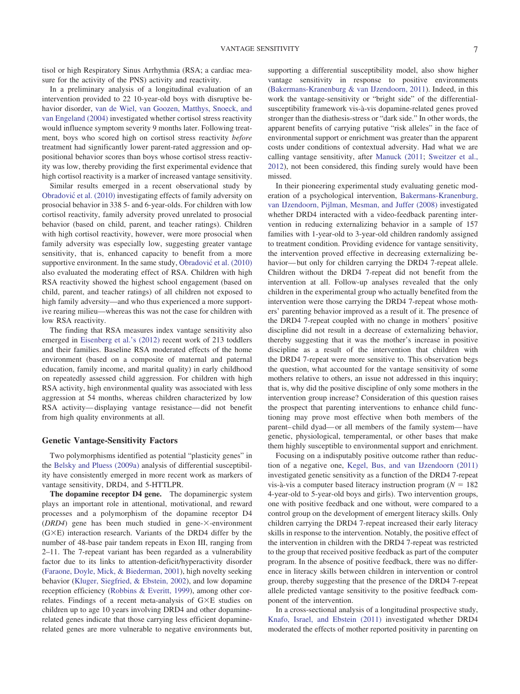tisol or high Respiratory Sinus Arrhythmia (RSA; a cardiac measure for the activity of the PNS) activity and reactivity.

In a preliminary analysis of a longitudinal evaluation of an intervention provided to 22 10-year-old boys with disruptive behavior disorder, van de Wiel, van Goozen, Matthys, Snoeck, and van Engeland (2004) investigated whether cortisol stress reactivity would influence symptom severity 9 months later. Following treatment, boys who scored high on cortisol stress reactivity *before* treatment had significantly lower parent-rated aggression and oppositional behavior scores than boys whose cortisol stress reactivity was low, thereby providing the first experimental evidence that high cortisol reactivity is a marker of increased vantage sensitivity.

Similar results emerged in a recent observational study by Obradović et al. (2010) investigating effects of family adversity on prosocial behavior in 338 5- and 6-year-olds. For children with low cortisol reactivity, family adversity proved unrelated to prosocial behavior (based on child, parent, and teacher ratings). Children with high cortisol reactivity, however, were more prosocial when family adversity was especially low, suggesting greater vantage sensitivity, that is, enhanced capacity to benefit from a more supportive environment. In the same study, Obradović et al. (2010) also evaluated the moderating effect of RSA. Children with high RSA reactivity showed the highest school engagement (based on child, parent, and teacher ratings) of all children not exposed to high family adversity—and who thus experienced a more supportive rearing milieu—whereas this was not the case for children with low RSA reactivity.

The finding that RSA measures index vantage sensitivity also emerged in Eisenberg et al.'s (2012) recent work of 213 toddlers and their families. Baseline RSA moderated effects of the home environment (based on a composite of maternal and paternal education, family income, and marital quality) in early childhood on repeatedly assessed child aggression. For children with high RSA activity, high environmental quality was associated with less aggression at 54 months, whereas children characterized by low RSA activity— displaying vantage resistance— did not benefit from high quality environments at all.

#### **Genetic Vantage-Sensitivity Factors**

Two polymorphisms identified as potential "plasticity genes" in the Belsky and Pluess (2009a) analysis of differential susceptibility have consistently emerged in more recent work as markers of vantage sensitivity, DRD4, and 5-HTTLPR.

**The dopamine receptor D4 gene.** The dopaminergic system plays an important role in attentional, motivational, and reward processes and a polymorphism of the dopamine receptor D4  $(DRD4)$  gene has been much studied in gene- $\times$ -environment (G×E) interaction research. Variants of the DRD4 differ by the number of 48-base pair tandem repeats in Exon III, ranging from 2–11. The 7-repeat variant has been regarded as a vulnerability factor due to its links to attention-deficit/hyperactivity disorder (Faraone, Doyle, Mick, & Biederman, 2001), high novelty seeking behavior (Kluger, Siegfried, & Ebstein, 2002), and low dopamine reception efficiency (Robbins & Everitt, 1999), among other correlates. Findings of a recent meta-analysis of  $G \times E$  studies on children up to age 10 years involving DRD4 and other dopaminerelated genes indicate that those carrying less efficient dopaminerelated genes are more vulnerable to negative environments but, supporting a differential susceptibility model, also show higher vantage sensitivity in response to positive environments (Bakermans-Kranenburg & van IJzendoorn, 2011). Indeed, in this work the vantage-sensitivity or "bright side" of the differentialsusceptibility framework vis-à-vis dopamine-related genes proved stronger than the diathesis-stress or "dark side." In other words, the apparent benefits of carrying putative "risk alleles" in the face of environmental support or enrichment was greater than the apparent costs under conditions of contextual adversity. Had what we are calling vantage sensitivity, after Manuck (2011; Sweitzer et al., 2012), not been considered, this finding surely would have been missed.

In their pioneering experimental study evaluating genetic moderation of a psychological intervention, Bakermans-Kranenburg, van IJzendoorn, Pijlman, Mesman, and Juffer (2008) investigated whether DRD4 interacted with a video-feedback parenting intervention in reducing externalizing behavior in a sample of 157 families with 1-year-old to 3-year-old children randomly assigned to treatment condition. Providing evidence for vantage sensitivity, the intervention proved effective in decreasing externalizing behavior—but only for children carrying the DRD4 7-repeat allele. Children without the DRD4 7-repeat did not benefit from the intervention at all. Follow-up analyses revealed that the only children in the experimental group who actually benefited from the intervention were those carrying the DRD4 7-repeat whose mothers' parenting behavior improved as a result of it. The presence of the DRD4 7-repeat coupled with no change in mothers' positive discipline did not result in a decrease of externalizing behavior, thereby suggesting that it was the mother's increase in positive discipline as a result of the intervention that children with the DRD4 7-repeat were more sensitive to. This observation begs the question, what accounted for the vantage sensitivity of some mothers relative to others, an issue not addressed in this inquiry; that is, why did the positive discipline of only some mothers in the intervention group increase? Consideration of this question raises the prospect that parenting interventions to enhance child functioning may prove most effective when both members of the parent– child dyad— or all members of the family system— have genetic, physiological, temperamental, or other bases that make them highly susceptible to environmental support and enrichment.

Focusing on a indisputably positive outcome rather than reduction of a negative one, Kegel, Bus, and van IJzendoorn (2011) investigated genetic sensitivity as a function of the DRD4 7-repeat vis-à-vis a computer based literacy instruction program  $(N = 182)$ 4-year-old to 5-year-old boys and girls). Two intervention groups, one with positive feedback and one without, were compared to a control group on the development of emergent literacy skills. Only children carrying the DRD4 7-repeat increased their early literacy skills in response to the intervention. Notably, the positive effect of the intervention in children with the DRD4 7-repeat was restricted to the group that received positive feedback as part of the computer program. In the absence of positive feedback, there was no difference in literacy skills between children in intervention or control group, thereby suggesting that the presence of the DRD4 7-repeat allele predicted vantage sensitivity to the positive feedback component of the intervention.

In a cross-sectional analysis of a longitudinal prospective study, Knafo, Israel, and Ebstein (2011) investigated whether DRD4 moderated the effects of mother reported positivity in parenting on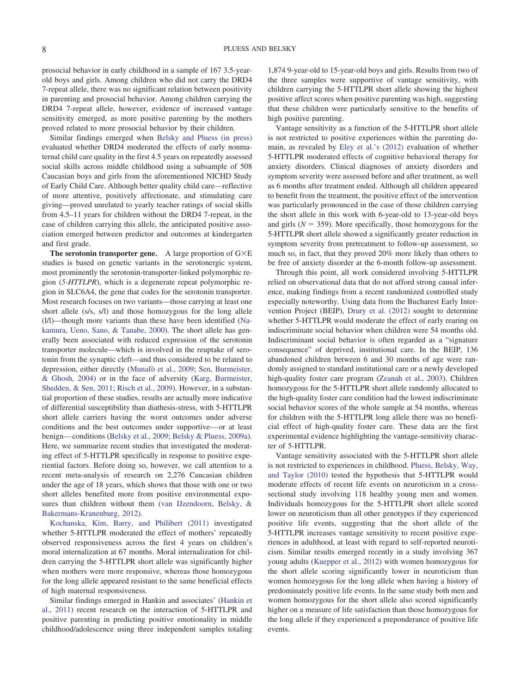prosocial behavior in early childhood in a sample of 167 3.5-yearold boys and girls. Among children who did not carry the DRD4 7-repeat allele, there was no significant relation between positivity in parenting and prosocial behavior. Among children carrying the DRD4 7-repeat allele, however, evidence of increased vantage sensitivity emerged, as more positive parenting by the mothers proved related to more prosocial behavior by their children.

Similar findings emerged when Belsky and Pluess (in press) evaluated whether DRD4 moderated the effects of early nonmaternal child care quality in the first 4.5 years on repeatedly assessed social skills across middle childhood using a subsample of 508 Caucasian boys and girls from the aforementioned NICHD Study of Early Child Care. Although better quality child care—reflective of more attentive, positively affectionate, and stimulating care giving—proved unrelated to yearly teacher ratings of social skills from 4.5–11 years for children without the DRD4 7-repeat, in the case of children carrying this allele, the anticipated positive association emerged between predictor and outcomes at kindergarten and first grade.

**The serotonin transporter gene.** A large proportion of  $G \times E$ studies is based on genetic variants in the serotonergic system, most prominently the serotonin-transporter-linked polymorphic region (*5-HTTLPR*), which is a degenerate repeat polymorphic region in SLC6A4, the gene that codes for the serotonin transporter. Most research focuses on two variants—those carrying at least one short allele (s/s, s/l) and those homozygous for the long allele (l/l)—though more variants than these have been identified (Nakamura, Ueno, Sano, & Tanabe, 2000). The short allele has generally been associated with reduced expression of the serotonin transporter molecule—which is involved in the reuptake of serotonin from the synaptic cleft—and thus considered to be related to depression, either directly (Munafò et al., 2009; Sen, Burmeister, & Ghosh, 2004) or in the face of adversity (Karg, Burmeister, Shedden, & Sen, 2011; Risch et al., 2009). However, in a substantial proportion of these studies, results are actually more indicative of differential susceptibility than diathesis-stress, with 5-HTTLPR short allele carriers having the worst outcomes under adverse conditions and the best outcomes under supportive— or at least benign— conditions (Belsky et al., 2009; Belsky & Pluess, 2009a). Here, we summarize recent studies that investigated the moderating effect of 5-HTTLPR specifically in response to positive experiential factors. Before doing so, however, we call attention to a recent meta-analysis of research on 2,276 Caucasian children under the age of 18 years, which shows that those with one or two short alleles benefited more from positive environmental exposures than children without them (van IJzendoorn, Belsky, & Bakermans-Kranenburg, 2012).

Kochanska, Kim, Barry, and Philibert (2011) investigated whether 5-HTTLPR moderated the effect of mothers' repeatedly observed responsiveness across the first 4 years on children's moral internalization at 67 months. Moral internalization for children carrying the 5-HTTLPR short allele was significantly higher when mothers were more responsive, whereas those homozygous for the long allele appeared resistant to the same beneficial effects of high maternal responsiveness.

Similar findings emerged in Hankin and associates' (Hankin et al., 2011) recent research on the interaction of 5-HTTLPR and positive parenting in predicting positive emotionality in middle childhood/adolescence using three independent samples totaling

1,874 9-year-old to 15-year-old boys and girls. Results from two of the three samples were supportive of vantage sensitivity, with children carrying the 5-HTTLPR short allele showing the highest positive affect scores when positive parenting was high, suggesting that these children were particularly sensitive to the benefits of high positive parenting.

Vantage sensitivity as a function of the 5-HTTLPR short allele is not restricted to positive experiences within the parenting domain, as revealed by Eley et al.'s (2012) evaluation of whether 5-HTTLPR moderated effects of cognitive behavioral therapy for anxiety disorders. Clinical diagnoses of anxiety disorders and symptom severity were assessed before and after treatment, as well as 6 months after treatment ended. Although all children appeared to benefit from the treatment, the positive effect of the intervention was particularly pronounced in the case of those children carrying the short allele in this work with 6-year-old to 13-year-old boys and girls  $(N = 359)$ . More specifically, those homozygous for the 5-HTTLPR short allele showed a significantly greater reduction in symptom severity from pretreatment to follow-up assessment, so much so, in fact, that they proved 20% more likely than others to be free of anxiety disorder at the 6-month follow-up assessment.

Through this point, all work considered involving 5-HTTLPR relied on observational data that do not afford strong causal inference, making findings from a recent randomized controlled study especially noteworthy. Using data from the Bucharest Early Intervention Project (BEIP), Drury et al. (2012) sought to determine whether 5-HTTLPR would moderate the effect of early rearing on indiscriminate social behavior when children were 54 months old. Indiscriminant social behavior is often regarded as a "signature consequence" of deprived, institutional care. In the BEIP, 136 abandoned children between 6 and 30 months of age were randomly assigned to standard institutional care or a newly developed high-quality foster care program (Zeanah et al., 2003). Children homozygous for the 5-HTTLPR short allele randomly allocated to the high-quality foster care condition had the lowest indiscriminate social behavior scores of the whole sample at 54 months, whereas for children with the 5-HTTLPR long allele there was no beneficial effect of high-quality foster care. These data are the first experimental evidence highlighting the vantage-sensitivity character of 5-HTTLPR.

Vantage sensitivity associated with the 5-HTTLPR short allele is not restricted to experiences in childhood. Pluess, Belsky, Way, and Taylor (2010) tested the hypothesis that 5-HTTLPR would moderate effects of recent life events on neuroticism in a crosssectional study involving 118 healthy young men and women. Individuals homozygous for the 5-HTTLPR short allele scored lower on neuroticism than all other genotypes if they experienced positive life events, suggesting that the short allele of the 5-HTTLPR increases vantage sensitivity to recent positive experiences in adulthood, at least with regard to self-reported neuroticism. Similar results emerged recently in a study involving 367 young adults (Kuepper et al., 2012) with women homozygous for the short allele scoring significantly lower in neuroticism than women homozygous for the long allele when having a history of predominately positive life events. In the same study both men and women homozygous for the short allele also scored significantly higher on a measure of life satisfaction than those homozygous for the long allele if they experienced a preponderance of positive life events.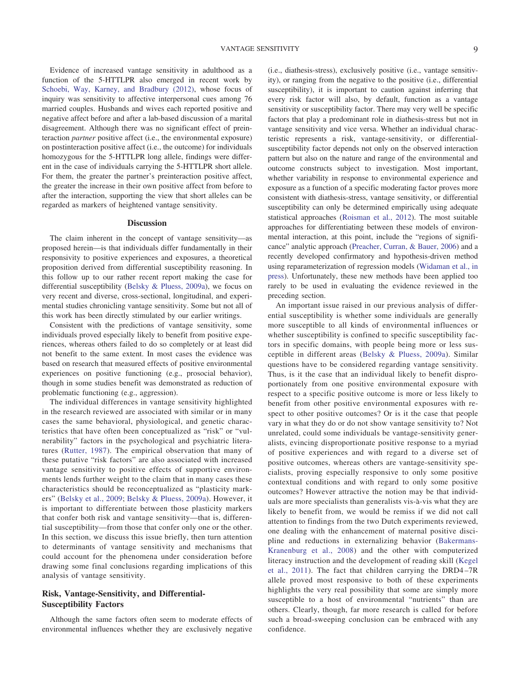Evidence of increased vantage sensitivity in adulthood as a function of the 5-HTTLPR also emerged in recent work by Schoebi, Way, Karney, and Bradbury (2012), whose focus of inquiry was sensitivity to affective interpersonal cues among 76 married couples. Husbands and wives each reported positive and negative affect before and after a lab-based discussion of a marital disagreement. Although there was no significant effect of preinteraction *partner* positive affect (i.e., the environmental exposure) on postinteraction positive affect (i.e., the outcome) for individuals homozygous for the 5-HTTLPR long allele, findings were different in the case of individuals carrying the 5-HTTLPR short allele. For them, the greater the partner's preinteraction positive affect, the greater the increase in their own positive affect from before to after the interaction, supporting the view that short alleles can be regarded as markers of heightened vantage sensitivity.

#### **Discussion**

The claim inherent in the concept of vantage sensitivity—as proposed herein—is that individuals differ fundamentally in their responsivity to positive experiences and exposures, a theoretical proposition derived from differential susceptibility reasoning. In this follow up to our rather recent report making the case for differential susceptibility (Belsky & Pluess, 2009a), we focus on very recent and diverse, cross-sectional, longitudinal, and experimental studies chronicling vantage sensitivity. Some but not all of this work has been directly stimulated by our earlier writings.

Consistent with the predictions of vantage sensitivity, some individuals proved especially likely to benefit from positive experiences, whereas others failed to do so completely or at least did not benefit to the same extent. In most cases the evidence was based on research that measured effects of positive environmental experiences on positive functioning (e.g., prosocial behavior), though in some studies benefit was demonstrated as reduction of problematic functioning (e.g., aggression).

The individual differences in vantage sensitivity highlighted in the research reviewed are associated with similar or in many cases the same behavioral, physiological, and genetic characteristics that have often been conceptualized as "risk" or "vulnerability" factors in the psychological and psychiatric literatures (Rutter, 1987). The empirical observation that many of these putative "risk factors" are also associated with increased vantage sensitivity to positive effects of supportive environments lends further weight to the claim that in many cases these characteristics should be reconceptualized as "plasticity markers" (Belsky et al., 2009; Belsky & Pluess, 2009a). However, it is important to differentiate between those plasticity markers that confer both risk and vantage sensitivity—that is, differential susceptibility—from those that confer only one or the other. In this section, we discuss this issue briefly, then turn attention to determinants of vantage sensitivity and mechanisms that could account for the phenomena under consideration before drawing some final conclusions regarding implications of this analysis of vantage sensitivity.

#### **Risk, Vantage-Sensitivity, and Differential-Susceptibility Factors**

Although the same factors often seem to moderate effects of environmental influences whether they are exclusively negative (i.e., diathesis-stress), exclusively positive (i.e., vantage sensitivity), or ranging from the negative to the positive (i.e., differential susceptibility), it is important to caution against inferring that every risk factor will also, by default, function as a vantage sensitivity or susceptibility factor. There may very well be specific factors that play a predominant role in diathesis-stress but not in vantage sensitivity and vice versa. Whether an individual characteristic represents a risk, vantage-sensitivity, or differentialsusceptibility factor depends not only on the observed interaction pattern but also on the nature and range of the environmental and outcome constructs subject to investigation. Most important, whether variability in response to environmental experience and exposure as a function of a specific moderating factor proves more consistent with diathesis-stress, vantage sensitivity, or differential susceptibility can only be determined empirically using adequate statistical approaches (Roisman et al., 2012). The most suitable approaches for differentiating between these models of environmental interaction, at this point, include the "regions of significance" analytic approach (Preacher, Curran, & Bauer, 2006) and a recently developed confirmatory and hypothesis-driven method using reparameterization of regression models (Widaman et al., in press). Unfortunately, these new methods have been applied too rarely to be used in evaluating the evidence reviewed in the preceding section.

An important issue raised in our previous analysis of differential susceptibility is whether some individuals are generally more susceptible to all kinds of environmental influences or whether susceptibility is confined to specific susceptibility factors in specific domains, with people being more or less susceptible in different areas (Belsky & Pluess, 2009a). Similar questions have to be considered regarding vantage sensitivity. Thus, is it the case that an individual likely to benefit disproportionately from one positive environmental exposure with respect to a specific positive outcome is more or less likely to benefit from other positive environmental exposures with respect to other positive outcomes? Or is it the case that people vary in what they do or do not show vantage sensitivity to? Not unrelated, could some individuals be vantage-sensitivity generalists, evincing disproportionate positive response to a myriad of positive experiences and with regard to a diverse set of positive outcomes, whereas others are vantage-sensitivity specialists, proving especially responsive to only some positive contextual conditions and with regard to only some positive outcomes? However attractive the notion may be that individuals are more specialists than generalists vis-à-vis what they are likely to benefit from, we would be remiss if we did not call attention to findings from the two Dutch experiments reviewed, one dealing with the enhancement of maternal positive discipline and reductions in externalizing behavior (Bakermans-Kranenburg et al., 2008) and the other with computerized literacy instruction and the development of reading skill (Kegel et al., 2011). The fact that children carrying the DRD4 –7R allele proved most responsive to both of these experiments highlights the very real possibility that some are simply more susceptible to a host of environmental "nutrients" than are others. Clearly, though, far more research is called for before such a broad-sweeping conclusion can be embraced with any confidence.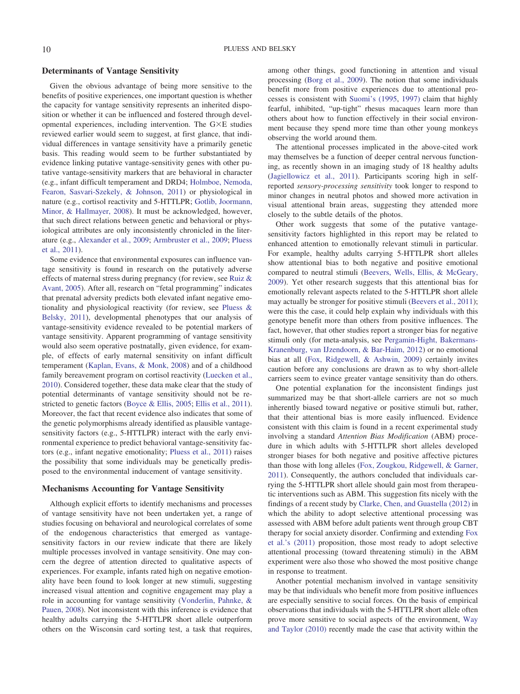#### **Determinants of Vantage Sensitivity**

Given the obvious advantage of being more sensitive to the benefits of positive experiences, one important question is whether the capacity for vantage sensitivity represents an inherited disposition or whether it can be influenced and fostered through developmental experiences, including intervention. The  $G \times E$  studies reviewed earlier would seem to suggest, at first glance, that individual differences in vantage sensitivity have a primarily genetic basis. This reading would seem to be further substantiated by evidence linking putative vantage-sensitivity genes with other putative vantage-sensitivity markers that are behavioral in character (e.g., infant difficult temperament and DRD4; Holmboe, Nemoda, Fearon, Sasvari-Szekely, & Johnson, 2011) or physiological in nature (e.g., cortisol reactivity and 5-HTTLPR; Gotlib, Joormann, Minor, & Hallmayer, 2008). It must be acknowledged, however, that such direct relations between genetic and behavioral or physiological attributes are only inconsistently chronicled in the literature (e.g., Alexander et al., 2009; Armbruster et al., 2009; Pluess et al., 2011).

Some evidence that environmental exposures can influence vantage sensitivity is found in research on the putatively adverse effects of maternal stress during pregnancy (for review, see Ruiz & Avant, 2005). After all, research on "fetal programming" indicates that prenatal adversity predicts both elevated infant negative emotionality and physiological reactivity (for review, see Pluess & Belsky, 2011), developmental phenotypes that our analysis of vantage-sensitivity evidence revealed to be potential markers of vantage sensitivity. Apparent programming of vantage sensitivity would also seem operative postnatally, given evidence, for example, of effects of early maternal sensitivity on infant difficult temperament (Kaplan, Evans, & Monk, 2008) and of a childhood family bereavement program on cortisol reactivity (Luecken et al., 2010). Considered together, these data make clear that the study of potential determinants of vantage sensitivity should not be restricted to genetic factors (Boyce & Ellis, 2005; Ellis et al., 2011). Moreover, the fact that recent evidence also indicates that some of the genetic polymorphisms already identified as plausible vantagesensitivity factors (e.g., 5-HTTLPR) interact with the early environmental experience to predict behavioral vantage-sensitivity factors (e.g., infant negative emotionality; Pluess et al., 2011) raises the possibility that some individuals may be genetically predisposed to the environmental inducement of vantage sensitivity.

#### **Mechanisms Accounting for Vantage Sensitivity**

Although explicit efforts to identify mechanisms and processes of vantage sensitivity have not been undertaken yet, a range of studies focusing on behavioral and neurological correlates of some of the endogenous characteristics that emerged as vantagesensitivity factors in our review indicate that there are likely multiple processes involved in vantage sensitivity. One may concern the degree of attention directed to qualitative aspects of experiences. For example, infants rated high on negative emotionality have been found to look longer at new stimuli, suggesting increased visual attention and cognitive engagement may play a role in accounting for vantage sensitivity (Vonderlin, Pahnke, & Pauen, 2008). Not inconsistent with this inference is evidence that healthy adults carrying the 5-HTTLPR short allele outperform others on the Wisconsin card sorting test, a task that requires, among other things, good functioning in attention and visual processing (Borg et al., 2009). The notion that some individuals benefit more from positive experiences due to attentional processes is consistent with Suomi's (1995, 1997) claim that highly fearful, inhibited, "up-tight" rhesus macaques learn more than others about how to function effectively in their social environment because they spend more time than other young monkeys observing the world around them.

The attentional processes implicated in the above-cited work may themselves be a function of deeper central nervous functioning, as recently shown in an imaging study of 18 healthy adults (Jagiellowicz et al., 2011). Participants scoring high in selfreported *sensory-processing sensitivity* took longer to respond to minor changes in neutral photos and showed more activation in visual attentional brain areas, suggesting they attended more closely to the subtle details of the photos.

Other work suggests that some of the putative vantagesensitivity factors highlighted in this report may be related to enhanced attention to emotionally relevant stimuli in particular. For example, healthy adults carrying 5-HTTLPR short alleles show attentional bias to both negative and positive emotional compared to neutral stimuli (Beevers, Wells, Ellis, & McGeary, 2009). Yet other research suggests that this attentional bias for emotionally relevant aspects related to the 5-HTTLPR short allele may actually be stronger for positive stimuli (Beevers et al., 2011); were this the case, it could help explain why individuals with this genotype benefit more than others from positive influences. The fact, however, that other studies report a stronger bias for negative stimuli only (for meta-analysis, see Pergamin-Hight, Bakermans-Kranenburg, van IJzendoorn, & Bar-Haim, 2012) or no emotional bias at all (Fox, Ridgewell, & Ashwin, 2009) certainly invites caution before any conclusions are drawn as to why short-allele carriers seem to evince greater vantage sensitivity than do others.

One potential explanation for the inconsistent findings just summarized may be that short-allele carriers are not so much inherently biased toward negative or positive stimuli but, rather, that their attentional bias is more easily influenced. Evidence consistent with this claim is found in a recent experimental study involving a standard *Attention Bias Modification* (ABM) procedure in which adults with 5-HTTLPR short alleles developed stronger biases for both negative and positive affective pictures than those with long alleles (Fox, Zougkou, Ridgewell, & Garner, 2011). Consequently, the authors concluded that individuals carrying the 5-HTTLPR short allele should gain most from therapeutic interventions such as ABM. This suggestion fits nicely with the findings of a recent study by Clarke, Chen, and Guastella (2012) in which the ability to adopt selective attentional processing was assessed with ABM before adult patients went through group CBT therapy for social anxiety disorder. Confirming and extending Fox et al.'s (2011) proposition, those most ready to adopt selective attentional processing (toward threatening stimuli) in the ABM experiment were also those who showed the most positive change in response to treatment.

Another potential mechanism involved in vantage sensitivity may be that individuals who benefit more from positive influences are especially sensitive to social forces. On the basis of empirical observations that individuals with the 5-HTTLPR short allele often prove more sensitive to social aspects of the environment, Way and Taylor (2010) recently made the case that activity within the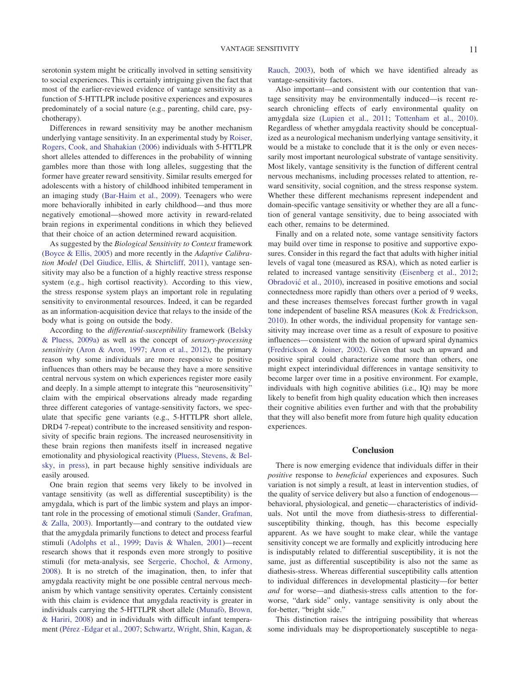serotonin system might be critically involved in setting sensitivity to social experiences. This is certainly intriguing given the fact that most of the earlier-reviewed evidence of vantage sensitivity as a function of 5-HTTLPR include positive experiences and exposures predominately of a social nature (e.g., parenting, child care, psychotherapy).

Differences in reward sensitivity may be another mechanism underlying vantage sensitivity. In an experimental study by Roiser, Rogers, Cook, and Shahakian (2006) individuals with 5-HTTLPR short alleles attended to differences in the probability of winning gambles more than those with long alleles, suggesting that the former have greater reward sensitivity. Similar results emerged for adolescents with a history of childhood inhibited temperament in an imaging study (Bar-Haim et al., 2009). Teenagers who were more behaviorally inhibited in early childhood—and thus more negatively emotional—showed more activity in reward-related brain regions in experimental conditions in which they believed that their choice of an action determined reward acquisition.

As suggested by the *Biological Sensitivity to Context* framework (Boyce & Ellis, 2005) and more recently in the *Adaptive Calibration Model* (Del Giudice, Ellis, & Shirtcliff, 2011), vantage sensitivity may also be a function of a highly reactive stress response system (e.g., high cortisol reactivity). According to this view, the stress response system plays an important role in regulating sensitivity to environmental resources. Indeed, it can be regarded as an information-acquisition device that relays to the inside of the body what is going on outside the body.

According to the *differential-susceptibility* framework (Belsky & Pluess, 2009a) as well as the concept of *sensory-processing sensitivity* (Aron & Aron, 1997; Aron et al., 2012), the primary reason why some individuals are more responsive to positive influences than others may be because they have a more sensitive central nervous system on which experiences register more easily and deeply. In a simple attempt to integrate this "neurosensitivity" claim with the empirical observations already made regarding three different categories of vantage-sensitivity factors, we speculate that specific gene variants (e.g., 5-HTTLPR short allele, DRD4 7-repeat) contribute to the increased sensitivity and responsivity of specific brain regions. The increased neurosensitivity in these brain regions then manifests itself in increased negative emotionality and physiological reactivity (Pluess, Stevens, & Belsky, in press), in part because highly sensitive individuals are easily aroused.

One brain region that seems very likely to be involved in vantage sensitivity (as well as differential susceptibility) is the amygdala, which is part of the limbic system and plays an important role in the processing of emotional stimuli (Sander, Grafman, & Zalla, 2003). Importantly—and contrary to the outdated view that the amygdala primarily functions to detect and process fearful stimuli (Adolphs et al., 1999; Davis & Whalen, 2001)—recent research shows that it responds even more strongly to positive stimuli (for meta-analysis, see Sergerie, Chochol, & Armony, 2008). It is no stretch of the imagination, then, to infer that amygdala reactivity might be one possible central nervous mechanism by which vantage sensitivity operates. Certainly consistent with this claim is evidence that amygdala reactivity is greater in individuals carrying the 5-HTTLPR short allele (Munafò, Brown, & Hariri, 2008) and in individuals with difficult infant temperament (Pérez -Edgar et al., 2007; Schwartz, Wright, Shin, Kagan, &

Rauch, 2003), both of which we have identified already as vantage-sensitivity factors.

Also important—and consistent with our contention that vantage sensitivity may be environmentally induced—is recent research chronicling effects of early environmental quality on amygdala size (Lupien et al., 2011; Tottenham et al., 2010). Regardless of whether amygdala reactivity should be conceptualized as a neurological mechanism underlying vantage sensitivity, it would be a mistake to conclude that it is the only or even necessarily most important neurological substrate of vantage sensitivity. Most likely, vantage sensitivity is the function of different central nervous mechanisms, including processes related to attention, reward sensitivity, social cognition, and the stress response system. Whether these different mechanisms represent independent and domain-specific vantage sensitivity or whether they are all a function of general vantage sensitivity, due to being associated with each other, remains to be determined.

Finally and on a related note, some vantage sensitivity factors may build over time in response to positive and supportive exposures. Consider in this regard the fact that adults with higher initial levels of vagal tone (measured as RSA), which as noted earlier is related to increased vantage sensitivity (Eisenberg et al., 2012; Obradović et al., 2010), increased in positive emotions and social connectedness more rapidly than others over a period of 9 weeks, and these increases themselves forecast further growth in vagal tone independent of baseline RSA measures (Kok & Fredrickson, 2010). In other words, the individual propensity for vantage sensitivity may increase over time as a result of exposure to positive influences— consistent with the notion of upward spiral dynamics (Fredrickson & Joiner, 2002). Given that such an upward and positive spiral could characterize some more than others, one might expect interindividual differences in vantage sensitivity to become larger over time in a positive environment. For example, individuals with high cognitive abilities (i.e., IQ) may be more likely to benefit from high quality education which then increases their cognitive abilities even further and with that the probability that they will also benefit more from future high quality education experiences.

#### **Conclusion**

There is now emerging evidence that individuals differ in their *positive* response to *beneficial* experiences and exposures. Such variation is not simply a result, at least in intervention studies, of the quality of service delivery but also a function of endogenous behavioral, physiological, and genetic— characteristics of individuals. Not until the move from diathesis-stress to differentialsusceptibility thinking, though, has this become especially apparent. As we have sought to make clear, while the vantage sensitivity concept we are formally and explicitly introducing here is indisputably related to differential susceptibility, it is not the same, just as differential susceptibility is also not the same as diathesis-stress. Whereas differential susceptibility calls attention to individual differences in developmental plasticity—for better *and* for worse—and diathesis-stress calls attention to the forworse, "dark side" only, vantage sensitivity is only about the for-better, "bright side."

This distinction raises the intriguing possibility that whereas some individuals may be disproportionately susceptible to nega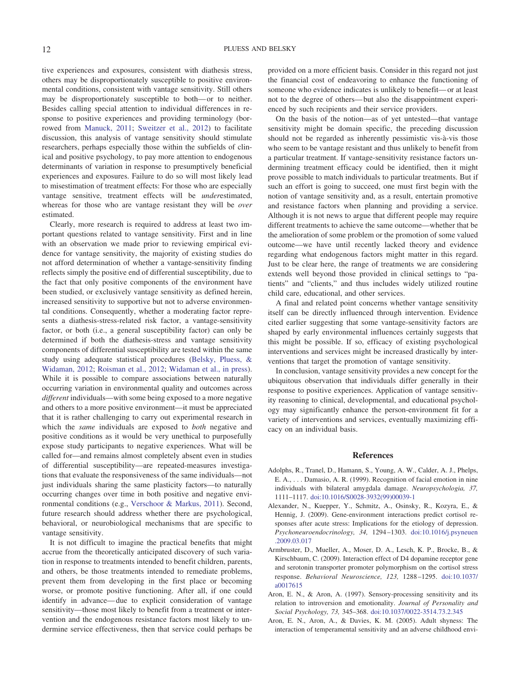tive experiences and exposures, consistent with diathesis stress, others may be disproportionately susceptible to positive environmental conditions, consistent with vantage sensitivity. Still others may be disproportionately susceptible to both— or to neither. Besides calling special attention to individual differences in response to positive experiences and providing terminology (borrowed from Manuck, 2011; Sweitzer et al., 2012) to facilitate discussion, this analysis of vantage sensitivity should stimulate researchers, perhaps especially those within the subfields of clinical and positive psychology, to pay more attention to endogenous determinants of variation in response to presumptively beneficial experiences and exposures. Failure to do so will most likely lead to misestimation of treatment effects: For those who are especially vantage sensitive, treatment effects will be *under*estimated, whereas for those who are vantage resistant they will be *over* estimated.

Clearly, more research is required to address at least two important questions related to vantage sensitivity. First and in line with an observation we made prior to reviewing empirical evidence for vantage sensitivity, the majority of existing studies do not afford determination of whether a vantage-sensitivity finding reflects simply the positive end of differential susceptibility, due to the fact that only positive components of the environment have been studied, or exclusively vantage sensitivity as defined herein, increased sensitivity to supportive but not to adverse environmental conditions. Consequently, whether a moderating factor represents a diathesis-stress-related risk factor, a vantage-sensitivity factor, or both (i.e., a general susceptibility factor) can only be determined if both the diathesis-stress and vantage sensitivity components of differential susceptibility are tested within the same study using adequate statistical procedures (Belsky, Pluess, & Widaman, 2012; Roisman et al., 2012; Widaman et al., in press). While it is possible to compare associations between naturally occurring variation in environmental quality and outcomes across *different* individuals—with some being exposed to a more negative and others to a more positive environment—it must be appreciated that it is rather challenging to carry out experimental research in which the *same* individuals are exposed to *both* negative and positive conditions as it would be very unethical to purposefully expose study participants to negative experiences. What will be called for—and remains almost completely absent even in studies of differential susceptibility—are repeated-measures investigations that evaluate the responsiveness of the same individuals—not just individuals sharing the same plasticity factors—to naturally occurring changes over time in both positive and negative environmental conditions (e.g., Verschoor & Markus, 2011). Second, future research should address whether there are psychological, behavioral, or neurobiological mechanisms that are specific to vantage sensitivity.

It is not difficult to imagine the practical benefits that might accrue from the theoretically anticipated discovery of such variation in response to treatments intended to benefit children, parents, and others, be those treatments intended to remediate problems, prevent them from developing in the first place or becoming worse, or promote positive functioning. After all, if one could identify in advance— due to explicit consideration of vantage sensitivity—those most likely to benefit from a treatment or intervention and the endogenous resistance factors most likely to undermine service effectiveness, then that service could perhaps be provided on a more efficient basis. Consider in this regard not just the financial cost of endeavoring to enhance the functioning of someone who evidence indicates is unlikely to benefit— or at least not to the degree of others— but also the disappointment experienced by such recipients and their service providers.

On the basis of the notion—as of yet untested—that vantage sensitivity might be domain specific, the preceding discussion should not be regarded as inherently pessimistic vis-à-vis those who seem to be vantage resistant and thus unlikely to benefit from a particular treatment. If vantage-sensitivity resistance factors undermining treatment efficacy could be identified, then it might prove possible to match individuals to particular treatments. But if such an effort is going to succeed, one must first begin with the notion of vantage sensitivity and, as a result, entertain promotive and resistance factors when planning and providing a service. Although it is not news to argue that different people may require different treatments to achieve the same outcome—whether that be the amelioration of some problem or the promotion of some valued outcome—we have until recently lacked theory and evidence regarding what endogenous factors might matter in this regard. Just to be clear here, the range of treatments we are considering extends well beyond those provided in clinical settings to "patients" and "clients," and thus includes widely utilized routine child care, educational, and other services.

A final and related point concerns whether vantage sensitivity itself can be directly influenced through intervention. Evidence cited earlier suggesting that some vantage-sensitivity factors are shaped by early environmental influences certainly suggests that this might be possible. If so, efficacy of existing psychological interventions and services might be increased drastically by interventions that target the promotion of vantage sensitivity.

In conclusion, vantage sensitivity provides a new concept for the ubiquitous observation that individuals differ generally in their response to positive experiences. Application of vantage sensitivity reasoning to clinical, developmental, and educational psychology may significantly enhance the person-environment fit for a variety of interventions and services, eventually maximizing efficacy on an individual basis.

#### **References**

- Adolphs, R., Tranel, D., Hamann, S., Young, A. W., Calder, A. J., Phelps, E. A., . . . Damasio, A. R. (1999). Recognition of facial emotion in nine individuals with bilateral amygdala damage. *Neuropsychologia, 37,* 1111–1117. doi:10.1016/S0028-3932(99)00039-1
- Alexander, N., Kuepper, Y., Schmitz, A., Osinsky, R., Kozyra, E., & Hennig, J. (2009). Gene-environment interactions predict cortisol responses after acute stress: Implications for the etiology of depression. *Psychoneuroendocrinology, 34,* 1294 –1303. doi:10.1016/j.psyneuen .2009.03.017
- Armbruster, D., Mueller, A., Moser, D. A., Lesch, K. P., Brocke, B., & Kirschbaum, C. (2009). Interaction effect of D4 dopamine receptor gene and serotonin transporter promoter polymorphism on the cortisol stress response. *Behavioral Neuroscience, 123,* 1288 –1295. doi:10.1037/ a0017615
- Aron, E. N., & Aron, A. (1997). Sensory-processing sensitivity and its relation to introversion and emotionality. *Journal of Personality and Social Psychology, 73,* 345–368. doi:10.1037/0022-3514.73.2.345
- Aron, E. N., Aron, A., & Davies, K. M. (2005). Adult shyness: The interaction of temperamental sensitivity and an adverse childhood envi-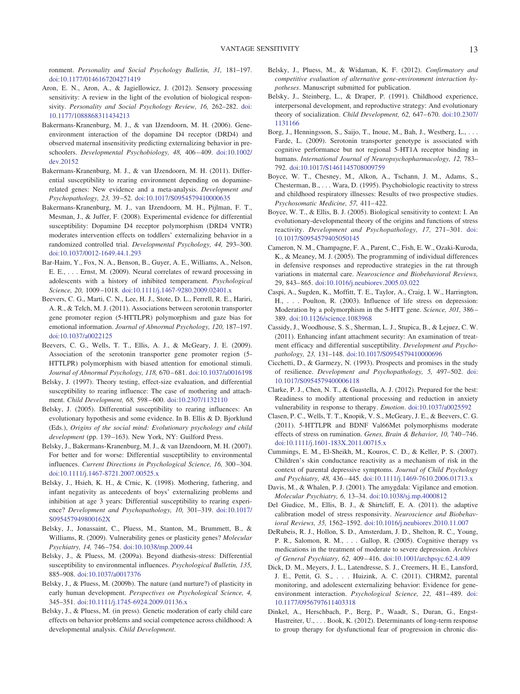ronment. *Personality and Social Psychology Bulletin, 31,* 181–197. doi:10.1177/0146167204271419

- Aron, E. N., Aron, A., & Jagiellowicz, J. (2012). Sensory processing sensitivity: A review in the light of the evolution of biological responsivity. *Personality and Social Psychology Review, 16,* 262–282. doi: 10.1177/1088868311434213
- Bakermans-Kranenburg, M. J., & van IJzendoorn, M. H. (2006). Geneenvironment interaction of the dopamine D4 receptor (DRD4) and observed maternal insensitivity predicting externalizing behavior in preschoolers. *Developmental Psychobiology, 48,* 406 – 409. doi:10.1002/ dev.20152
- Bakermans-Kranenburg, M. J., & van IJzendoorn, M. H. (2011). Differential susceptibility to rearing environment depending on dopaminerelated genes: New evidence and a meta-analysis. *Development and Psychopathology, 23,* 39 –52. doi:10.1017/S0954579410000635
- Bakermans-Kranenburg, M. J., van IJzendoorn, M. H., Pijlman, F. T., Mesman, J., & Juffer, F. (2008). Experimental evidence for differential susceptibility: Dopamine D4 receptor polymorphism (DRD4 VNTR) moderates intervention effects on toddlers' externalizing behavior in a randomized controlled trial. *Developmental Psychology, 44,* 293–300. doi:10.1037/0012-1649.44.1.293
- Bar-Haim, Y., Fox, N. A., Benson, B., Guyer, A. E., Williams, A., Nelson, E. E., . . . Ernst, M. (2009). Neural correlates of reward processing in adolescents with a history of inhibited temperament. *Psychological Science, 20,* 1009 –1018. doi:10.1111/j.1467-9280.2009.02401.x
- Beevers, C. G., Marti, C. N., Lee, H. J., Stote, D. L., Ferrell, R. E., Hariri, A. R., & Telch, M. J. (2011). Associations between serotonin transporter gene promoter region (5-HTTLPR) polymorphism and gaze bias for emotional information. *Journal of Abnormal Psychology, 120,* 187–197. doi:10.1037/a0022125
- Beevers, C. G., Wells, T. T., Ellis, A. J., & McGeary, J. E. (2009). Association of the serotonin transporter gene promoter region (5- HTTLPR) polymorphism with biased attention for emotional stimuli. *Journal of Abnormal Psychology, 118,* 670 – 681. doi:10.1037/a0016198
- Belsky, J. (1997). Theory testing, effect-size evaluation, and differential susceptibility to rearing influence: The case of mothering and attachment. *Child Development, 68,* 598 – 600. doi:10.2307/1132110
- Belsky, J. (2005). Differential susceptibility to rearing influences: An evolutionary hypothesis and some evidence. In B. Ellis & D. Bjorklund (Eds.), *Origins of the social mind: Evolutionary psychology and child development* (pp. 139 –163). New York, NY: Guilford Press.
- Belsky, J., Bakermans-Kranenburg, M. J., & van IJzendoorn, M. H. (2007). For better and for worse: Differential susceptibility to environmental influences. *Current Directions in Psychological Science, 16,* 300 –304. doi:10.1111/j.1467-8721.2007.00525.x
- Belsky, J., Hsieh, K. H., & Crnic, K. (1998). Mothering, fathering, and infant negativity as antecedents of boys' externalizing problems and inhibition at age 3 years: Differential susceptibility to rearing experience? *Development and Psychopathology, 10,* 301–319. doi:10.1017/ S095457949800162X
- Belsky, J., Jonassaint, C., Pluess, M., Stanton, M., Brummett, B., & Williams, R. (2009). Vulnerability genes or plasticity genes? *Molecular Psychiatry, 14,* 746 –754. doi:10.1038/mp.2009.44
- Belsky, J., & Pluess, M. (2009a). Beyond diathesis-stress: Differential susceptibility to environmental influences. *Psychological Bulletin, 135,* 885–908. doi:10.1037/a0017376
- Belsky, J., & Pluess, M. (2009b). The nature (and nurture?) of plasticity in early human development. *Perspectives on Psychological Science, 4,* 345–351. doi:10.1111/j.1745-6924.2009.01136.x
- Belsky, J., & Pluess, M. (in press). Genetic moderation of early child care effects on behavior problems and social competence across childhood: A developmental analysis. *Child Development*.
- Belsky, J., Pluess, M., & Widaman, K. F. (2012). *Confirmatory and competitive evaluation of alternative gene-environment interaction hypotheses*. Manuscript submitted for publication.
- Belsky, J., Steinberg, L., & Draper, P. (1991). Childhood experience, interpersonal development, and reproductive strategy: And evolutionary theory of socialization. *Child Development*, 62, 647-670. doi:10.2307/ 1131166
- Borg, J., Henningsson, S., Saijo, T., Inoue, M., Bah, J., Westberg, L., ... Farde, L. (2009). Serotonin transporter genotype is associated with cognitive performance but not regional 5-HT1A receptor binding in humans. *International Journal of Neuropsychopharmacology, 12,* 783– 792. doi:10.1017/S1461145708009759
- Boyce, W. T., Chesney, M., Alkon, A., Tschann, J. M., Adams, S., Chesterman, B.,... Wara, D. (1995). Psychobiologic reactivity to stress and childhood respiratory illnesses: Results of two prospective studies. *Psychosomatic Medicine, 57,* 411– 422.
- Boyce, W. T., & Ellis, B. J. (2005). Biological sensitivity to context: I. An evolutionary-developmental theory of the origins and functions of stress reactivity. *Development and Psychopathology, 17,* 271–301. doi: 10.1017/S0954579405050145
- Cameron, N. M., Champagne, F. A., Parent, C., Fish, E. W., Ozaki-Kuroda, K., & Meaney, M. J. (2005). The programming of individual differences in defensive responses and reproductive strategies in the rat through variations in maternal care. *Neuroscience and Biobehavioral Reviews,* 29, 843– 865. doi:10.1016/j.neubiorev.2005.03.022
- Caspi, A., Sugden, K., Moffitt, T. E., Taylor, A., Craig, I. W., Harrington, H., . . . Poulton, R. (2003). Influence of life stress on depression: Moderation by a polymorphism in the 5-HTT gene. *Science, 301,* 386 – 389. doi:10.1126/science.1083968
- Cassidy, J., Woodhouse, S. S., Sherman, L. J., Stupica, B., & Lejuez, C. W. (2011). Enhancing infant attachment security: An examination of treatment efficacy and differential susceptibility. *Development and Psychopathology, 23,* 131–148. doi:10.1017/S0954579410000696
- Cicchetti, D., & Garmezy, N. (1993). Prospects and promises in the study of resilience. *Development and Psychopathology, 5,* 497–502. doi: 10.1017/S0954579400006118
- Clarke, P. J., Chen, N. T., & Guastella, A. J. (2012). Prepared for the best: Readiness to modify attentional processing and reduction in anxiety vulnerability in response to therapy. *Emotion*. doi:10.1037/a0025592
- Clasen, P. C., Wells, T. T., Knopik, V. S., McGeary, J. E., & Beevers, C. G. (2011). 5-HTTLPR and BDNF Val66Met polymorphisms moderate effects of stress on rumination. *Genes, Brain & Behavior, 10,* 740 –746. doi:10.1111/j.1601-183X.2011.00715.x
- Cummings, E. M., El-Sheikh, M., Kouros, C. D., & Keller, P. S. (2007). Children's skin conductance reactivity as a mechanism of risk in the context of parental depressive symptoms. *Journal of Child Psychology and Psychiatry, 48,* 436 – 445. doi:10.1111/j.1469-7610.2006.01713.x
- Davis, M., & Whalen, P. J. (2001). The amygdala: Vigilance and emotion. *Molecular Psychiatry, 6,* 13–34. doi:10.1038/sj.mp.4000812
- Del Giudice, M., Ellis, B. J., & Shirtcliff, E. A. (2011). the adaptive calibration model of stress responsivity. *Neuroscience and Biobehavioral Reviews, 35,* 1562–1592. doi:10.1016/j.neubiorev.2010.11.007
- DeRubeis, R. J., Hollon, S. D., Amsterdam, J. D., Shelton, R. C., Young, P. R., Salomon, R. M.,... Gallop, R. (2005). Cognitive therapy vs medications in the treatment of moderate to severe depression. *Archives of General Psychiatry, 62,* 409 – 416. doi:10.1001/archpsyc.62.4.409
- Dick, D. M., Meyers, J. L., Latendresse, S. J., Creemers, H. E., Lansford, J. E., Pettit, G. S.,... Huizink, A. C. (2011). CHRM2, parental monitoring, and adolescent externalizing behavior: Evidence for geneenvironment interaction. *Psychological Science*, 22, 481-489. doi: 10.1177/0956797611403318
- Dinkel, A., Herschbach, P., Berg, P., Waadt, S., Duran, G., Engst-Hastreiter, U., ... Book, K. (2012). Determinants of long-term response to group therapy for dysfunctional fear of progression in chronic dis-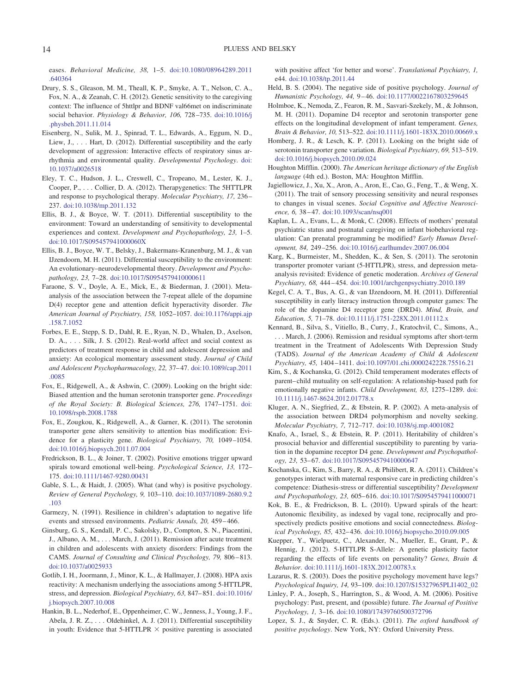eases. *Behavioral Medicine, 38,* 1–5. doi:10.1080/08964289.2011 .640364

- Drury, S. S., Gleason, M. M., Theall, K. P., Smyke, A. T., Nelson, C. A., Fox, N. A., & Zeanah, C. H. (2012). Genetic sensitivity to the caregiving context: The influence of 5httlpr and BDNF val66met on indiscriminate social behavior. *Physiology & Behavior, 106,* 728 –735. doi:10.1016/j .physbeh.2011.11.014
- Eisenberg, N., Sulik, M. J., Spinrad, T. L., Edwards, A., Eggum, N. D., Liew, J.,... Hart, D. (2012). Differential susceptibility and the early development of aggression: Interactive effects of respiratory sinus arrhythmia and environmental quality. *Developmental Psychology*. doi: 10.1037/a0026518
- Eley, T. C., Hudson, J. L., Creswell, C., Tropeano, M., Lester, K. J., Cooper, P.,... Collier, D. A. (2012). Therapygenetics: The 5HTTLPR and response to psychological therapy. *Molecular Psychiatry, 17,* 236 – 237. doi:10.1038/mp.2011.132
- Ellis, B. J., & Boyce, W. T. (2011). Differential susceptibility to the environment: Toward an understanding of sensitivity to developmental experiences and context. *Development and Psychopathology, 23,* 1–5. doi:10.1017/S095457941000060X
- Ellis, B. J., Boyce, W. T., Belsky, J., Bakermans-Kranenburg, M. J., & van IJzendoorn, M. H. (2011). Differential susceptibility to the environment: An evolutionary–neurodevelopmental theory. *Development and Psychopathology, 23,* 7–28. doi:10.1017/S0954579410000611
- Faraone, S. V., Doyle, A. E., Mick, E., & Biederman, J. (2001). Metaanalysis of the association between the 7-repeat allele of the dopamine D(4) receptor gene and attention deficit hyperactivity disorder. *The American Journal of Psychiatry, 158,* 1052–1057. doi:10.1176/appi.ajp .158.7.1052
- Forbes, E. E., Stepp, S. D., Dahl, R. E., Ryan, N. D., Whalen, D., Axelson, D. A., . . . Silk, J. S. (2012). Real-world affect and social context as predictors of treatment response in child and adolescent depression and anxiety: An ecological momentary assessment study. *Journal of Child and Adolescent Psychopharmacology, 22,* 37– 47. doi:10.1089/cap.2011 .0085
- Fox, E., Ridgewell, A., & Ashwin, C. (2009). Looking on the bright side: Biased attention and the human serotonin transporter gene. *Proceedings of the Royal Society: B. Biological Sciences, 276,* 1747–1751. doi: 10.1098/rspb.2008.1788
- Fox, E., Zougkou, K., Ridgewell, A., & Garner, K. (2011). The serotonin transporter gene alters sensitivity to attention bias modification: Evidence for a plasticity gene. *Biological Psychiatry, 70,* 1049 –1054. doi:10.1016/j.biopsych.2011.07.004
- Fredrickson, B. L., & Joiner, T. (2002). Positive emotions trigger upward spirals toward emotional well-being. *Psychological Science, 13,* 172– 175. doi:10.1111/1467-9280.00431
- Gable, S. L., & Haidt, J. (2005). What (and why) is positive psychology. *Review of General Psychology, 9,* 103–110. doi:10.1037/1089-2680.9.2 .103
- Garmezy, N. (1991). Resilience in children's adaptation to negative life events and stressed environments. *Pediatric Annals, 20,* 459 – 466.
- Ginsburg, G. S., Kendall, P. C., Sakolsky, D., Compton, S. N., Piacentini, J., Albano, A. M.,... March, J. (2011). Remission after acute treatment in children and adolescents with anxiety disorders: Findings from the CAMS. *Journal of Consulting and Clinical Psychology, 79,* 806 – 813. doi:10.1037/a0025933
- Gotlib, I. H., Joormann, J., Minor, K. L., & Hallmayer, J. (2008). HPA axis reactivity: A mechanism underlying the associations among 5-HTTLPR, stress, and depression. *Biological Psychiatry, 63,* 847– 851. doi:10.1016/ j.biopsych.2007.10.008
- Hankin, B. L., Nederhof, E., Oppenheimer, C. W., Jenness, J., Young, J. F., Abela, J. R. Z.,... Oldehinkel, A. J. (2011). Differential susceptibility in youth: Evidence that  $5$ -HTTLPR  $\times$  positive parenting is associated

with positive affect 'for better and worse'. *Translational Psychiatry, 1,* e44. doi:10.1038/tp.2011.44

- Held, B. S. (2004). The negative side of positive psychology. *Journal of Humanistic Psychology, 44,* 9 – 46. doi:10.1177/0022167803259645
- Holmboe, K., Nemoda, Z., Fearon, R. M., Sasvari-Szekely, M., & Johnson, M. H. (2011). Dopamine D4 receptor and serotonin transporter gene effects on the longitudinal development of infant temperament. *Genes, Brain & Behavior, 10,* 513–522. doi:10.1111/j.1601-183X.2010.00669.x
- Homberg, J. R., & Lesch, K. P. (2011). Looking on the bright side of serotonin transporter gene variation. *Biological Psychiatry, 69,* 513–519. doi:10.1016/j.biopsych.2010.09.024
- Houghton Mifflin. (2000). *The American heritage dictionary of the English language* (4th ed.). Boston, MA: Houghton Mifflin.
- Jagiellowicz, J., Xu, X., Aron, A., Aron, E., Cao, G., Feng, T., & Weng, X. (2011). The trait of sensory processing sensitivity and neural responses to changes in visual scenes. *Social Cognitive and Affective Neuroscience, 6,* 38 – 47. doi:10.1093/scan/nsq001
- Kaplan, L. A., Evans, L., & Monk, C. (2008). Effects of mothers' prenatal psychiatric status and postnatal caregiving on infant biobehavioral regulation: Can prenatal programming be modified? *Early Human Development, 84,* 249 –256. doi:10.1016/j.earlhumdev.2007.06.004
- Karg, K., Burmeister, M., Shedden, K., & Sen, S. (2011). The serotonin transporter promoter variant (5-HTTLPR), stress, and depression metaanalysis revisited: Evidence of genetic moderation. *Archives of General Psychiatry, 68,* 444 – 454. doi:10.1001/archgenpsychiatry.2010.189
- Kegel, C. A. T., Bus, A. G., & van IJzendoorn, M. H. (2011). Differential susceptibility in early literacy instruction through computer games: The role of the dopamine D4 receptor gene (DRD4). *Mind, Brain, and Education, 5,* 71–78. doi:10.1111/j.1751-228X.2011.01112.x
- Kennard, B., Silva, S., Vitiello, B., Curry, J., Kratochvil, C., Simons, A., . . . March, J. (2006). Remission and residual symptoms after short-term treatment in the Treatment of Adolescents With Depression Study (TADS). *Journal of the American Academy of Child & Adolescent Psychiatry, 45,* 1404 –1411. doi:10.1097/01.chi.0000242228.75516.21
- Kim, S., & Kochanska, G. (2012). Child temperament moderates effects of parent– child mutuality on self-regulation: A relationship-based path for emotionally negative infants. *Child Development, 83,* 1275–1289. doi: 10.1111/j.1467-8624.2012.01778.x
- Kluger, A. N., Siegfried, Z., & Ebstein, R. P. (2002). A meta-analysis of the association between DRD4 polymorphism and novelty seeking. *Molecular Psychiatry, 7,* 712–717. doi:10.1038/sj.mp.4001082
- Knafo, A., Israel, S., & Ebstein, R. P. (2011). Heritability of children's prosocial behavior and differential susceptibility to parenting by variation in the dopamine receptor D4 gene. *Development and Psychopathology, 23,* 53– 67. doi:10.1017/S0954579410000647
- Kochanska, G., Kim, S., Barry, R. A., & Philibert, R. A. (2011). Children's genotypes interact with maternal responsive care in predicting children's competence: Diathesis-stress or differential susceptibility? *Development and Psychopathology, 23,* 605– 616. doi:10.1017/S0954579411000071
- Kok, B. E., & Fredrickson, B. L. (2010). Upward spirals of the heart: Autonomic flexibility, as indexed by vagal tone, reciprocally and prospectively predicts positive emotions and social connectedness. *Biological Psychology, 85,* 432– 436. doi:10.1016/j.biopsycho.2010.09.005
- Kuepper, Y., Wielpuetz, C., Alexander, N., Mueller, E., Grant, P., & Hennig, J. (2012). 5-HTTLPR S-Allele: A genetic plasticity factor regarding the effects of life events on personality? *Genes, Brain & Behavior*. doi:10.1111/j.1601-183X.2012.00783.x
- Lazarus, R. S. (2003). Does the positive psychology movement have legs? *Psychological Inquiry, 14,* 93–109. doi:10.1207/S15327965PLI1402\_02
- Linley, P. A., Joseph, S., Harrington, S., & Wood, A. M. (2006). Positive psychology: Past, present, and (possible) future. *The Journal of Positive Psychology, 1,* 3–16. doi:10.1080/17439760500372796
- Lopez, S. J., & Snyder, C. R. (Eds.). (2011). *The oxford handbook of positive psychology*. New York, NY: Oxford University Press.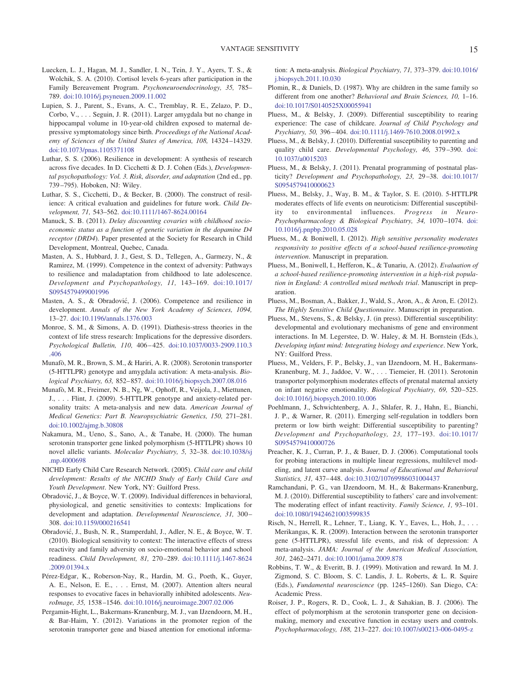- Luecken, L. J., Hagan, M. J., Sandler, I. N., Tein, J. Y., Ayers, T. S., & Wolchik, S. A. (2010). Cortisol levels 6-years after participation in the Family Bereavement Program. *Psychoneuroendocrinology, 35,* 785– 789. doi:10.1016/j.psyneuen.2009.11.002
- Lupien, S. J., Parent, S., Evans, A. C., Tremblay, R. E., Zelazo, P. D., Corbo, V.,... Seguin, J. R. (2011). Larger amygdala but no change in hippocampal volume in 10-year-old children exposed to maternal depressive symptomatology since birth. *Proceedings of the National Academy of Sciences of the United States of America, 108,* 14324 –14329. doi:10.1073/pnas.1105371108
- Luthar, S. S. (2006). Resilience in development: A synthesis of research across five decades. In D. Cicchetti & D. J. Cohen (Eds.), *Developmental psychopathology: Vol. 3. Risk, disorder, and adaptation* (2nd ed., pp. 739 –795). Hoboken, NJ: Wiley.
- Luthar, S. S., Cicchetti, D., & Becker, B. (2000). The construct of resilience: A critical evaluation and guidelines for future work. *Child Development, 71,* 543–562. doi:10.1111/1467-8624.00164
- Manuck, S. B. (2011). *Delay discounting covaries with childhood socioeconomic status as a function of genetic variation in the dopamine D4 receptor (DRD4*). Paper presented at the Society for Research in Child Development, Montreal, Quebec, Canada.
- Masten, A. S., Hubbard, J. J., Gest, S. D., Tellegen, A., Garmezy, N., & Ramirez, M. (1999). Competence in the context of adversity: Pathways to resilience and maladaptation from childhood to late adolescence. *Development and Psychopathology, 11,* 143–169. doi:10.1017/ S0954579499001996
- Masten, A. S., & Obradović, J. (2006). Competence and resilience in development. *Annals of the New York Academy of Sciences, 1094,* 13–27. doi:10.1196/annals.1376.003
- Monroe, S. M., & Simons, A. D. (1991). Diathesis-stress theories in the context of life stress research: Implications for the depressive disorders. *Psychological Bulletin, 110,* 406 – 425. doi:10.1037/0033-2909.110.3 .406
- Munafò, M. R., Brown, S. M., & Hariri, A. R. (2008). Serotonin transporter (5-HTTLPR) genotype and amygdala activation: A meta-analysis. *Biological Psychiatry, 63,* 852– 857. doi:10.1016/j.biopsych.2007.08.016
- Munafò, M. R., Freimer, N. B., Ng, W., Ophoff, R., Veijola, J., Miettunen, J., . . . Flint, J. (2009). 5-HTTLPR genotype and anxiety-related personality traits: A meta-analysis and new data. *American Journal of Medical Genetics: Part B. Neuropsychiatric Genetics, 150,* 271–281. doi:10.1002/ajmg.b.30808
- Nakamura, M., Ueno, S., Sano, A., & Tanabe, H. (2000). The human serotonin transporter gene linked polymorphism (5-HTTLPR) shows 10 novel allelic variants. *Molecular Psychiatry, 5,* 32–38. doi:10.1038/sj .mp.4000698
- NICHD Early Child Care Research Network. (2005). *Child care and child development: Results of the NICHD Study of Early Child Care and Youth Development*. New York, NY: Guilford Press.
- Obradović, J., & Boyce, W. T. (2009). Individual differences in behavioral, physiological, and genetic sensitivities to contexts: Implications for development and adaptation. *Developmental Neuroscience, 31,* 300 – 308. doi:10.1159/000216541
- Obradovic, J., Bush, N. R., Stamperdahl, J., Adler, N. E., & Boyce, W. T. ´ (2010). Biological sensitivity to context: The interactive effects of stress reactivity and family adversity on socio-emotional behavior and school readiness. *Child Development, 81,* 270 –289. doi:10.1111/j.1467-8624 .2009.01394.x
- Pérez-Edgar, K., Roberson-Nay, R., Hardin, M. G., Poeth, K., Guyer, A. E., Nelson, E. E.,... Ernst, M. (2007). Attention alters neural responses to evocative faces in behaviorally inhibited adolescents. *NeuroImage, 35,* 1538 –1546. doi:10.1016/j.neuroimage.2007.02.006
- Pergamin-Hight, L., Bakermans-Kranenburg, M. J., van IJzendoorn, M. H., & Bar-Haim, Y. (2012). Variations in the promoter region of the serotonin transporter gene and biased attention for emotional informa-

tion: A meta-analysis. *Biological Psychiatry, 71,* 373–379. doi:10.1016/ j.biopsych.2011.10.030

- Plomin, R., & Daniels, D. (1987). Why are children in the same family so different from one another? *Behavioral and Brain Sciences, 10,* 1–16. doi:10.1017/S0140525X00055941
- Pluess, M., & Belsky, J. (2009). Differential susceptibility to rearing experience: The case of childcare. *Journal of Child Psychology and Psychiatry, 50,* 396 – 404. doi:10.1111/j.1469-7610.2008.01992.x
- Pluess, M., & Belsky, J. (2010). Differential susceptibility to parenting and quality child care. *Developmental Psychology, 46,* 379 –390. doi: 10.1037/a0015203
- Pluess, M., & Belsky, J. (2011). Prenatal programming of postnatal plasticity? *Development and Psychopathology, 23,* 29 –38. doi:10.1017/ S0954579410000623
- Pluess, M., Belsky, J., Way, B. M., & Taylor, S. E. (2010). 5-HTTLPR moderates effects of life events on neuroticism: Differential susceptibility to environmental influences. *Progress in Neuro-Psychopharmacology & Biological Psychiatry, 34,* 1070 –1074. doi: 10.1016/j.pnpbp.2010.05.028
- Pluess, M., & Boniwell, I. (2012). *High sensitive personality moderates responsivity to positive effects of a school-based resilience-promoting intervention*. Manuscript in preparation.
- Pluess, M., Boniwell, I., Hefferon, K., & Tunariu, A. (2012). *Evaluation of a school-based resilience-promoting intervention in a high-risk population in England: A controlled mixed methods trial*. Manuscript in preparation.
- Pluess, M., Bosman, A., Bakker, J., Wald, S., Aron, A., & Aron, E. (2012). *The Highly Sensitive Child Questionnaire*. Manuscript in preparation.
- Pluess, M., Stevens, S., & Belsky, J. (in press). Differential susceptibility: developmental and evolutionary mechanisms of gene and environment interactions. In M. Legerstee, D. W. Haley, & M. H. Bornstein (Eds.), *Developing infant mind: Integrating biology and experience*. New York, NY: Guilford Press.
- Pluess, M., Velders, F. P., Belsky, J., van IJzendoorn, M. H., Bakermans-Kranenburg, M. J., Jaddoe, V. W.,... Tiemeier, H. (2011). Serotonin transporter polymorphism moderates effects of prenatal maternal anxiety on infant negative emotionality. *Biological Psychiatry, 69,* 520 –525. doi:10.1016/j.biopsych.2010.10.006
- Poehlmann, J., Schwichtenberg, A. J., Shlafer, R. J., Hahn, E., Bianchi, J. P., & Warner, R. (2011). Emerging self-regulation in toddlers born preterm or low birth weight: Differential susceptibility to parenting? *Development and Psychopathology, 23,* 177–193. doi:10.1017/ S0954579410000726
- Preacher, K. J., Curran, P. J., & Bauer, D. J. (2006). Computational tools for probing interactions in multiple linear regressions, multilevel modeling, and latent curve analysis. *Journal of Educational and Behavioral Statistics, 31,* 437– 448. doi:10.3102/10769986031004437
- Ramchandani, P. G., van IJzendoorn, M. H., & Bakermans-Kranenburg, M. J. (2010). Differential susceptibility to fathers' care and involvement: The moderating effect of infant reactivity. *Family Science, 1,* 93–101. doi:10.1080/19424621003599835
- Risch, N., Herrell, R., Lehner, T., Liang, K. Y., Eaves, L., Hoh, J.,... Merikangas, K. R. (2009). Interaction between the serotonin transporter gene (5-HTTLPR), stressful life events, and risk of depression: A meta-analysis. *JAMA: Journal of the American Medical Association, 301,* 2462–2471. doi:10.1001/jama.2009.878
- Robbins, T. W., & Everitt, B. J. (1999). Motivation and reward. In M. J. Zigmond, S. C. Bloom, S. C. Landis, J. L. Roberts, & L. R. Squire (Eds.), *Fundamental neuroscience* (pp. 1245–1260). San Diego, CA: Academic Press.
- Roiser, J. P., Rogers, R. D., Cook, L. J., & Sahakian, B. J. (2006). The effect of polymorphism at the serotonin transporter gene on decisionmaking, memory and executive function in ecstasy users and controls. *Psychopharmacology, 188,* 213–227. doi:10.1007/s00213-006-0495-z